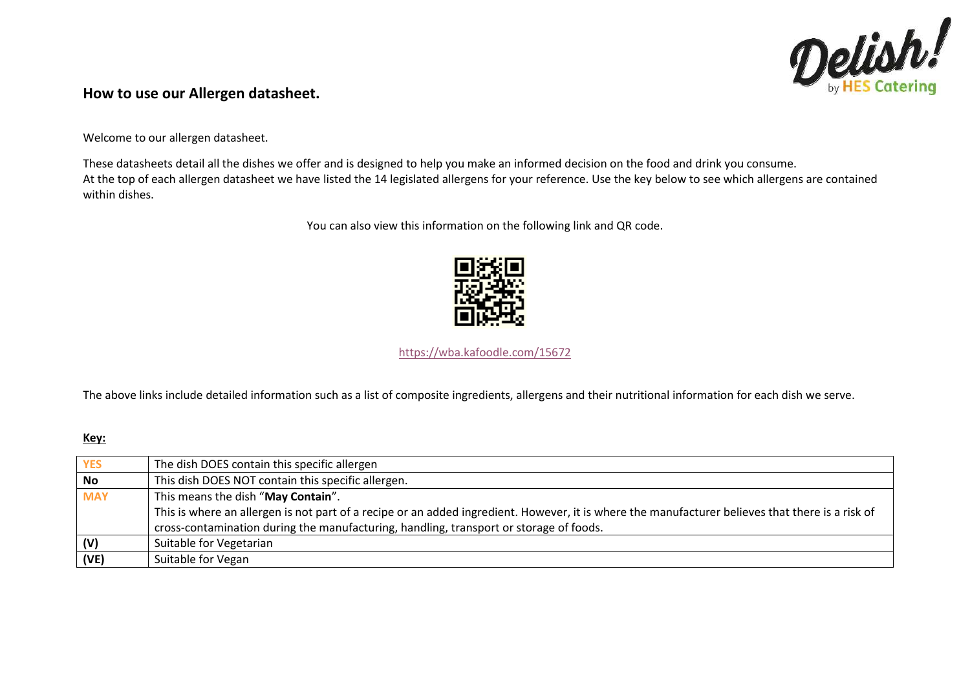

### **How to use our Allergen datasheet.**

Welcome to our allergen datasheet.

These datasheets detail all the dishes we offer and is designed to help you make an informed decision on the food and drink you consume. At the top of each allergen datasheet we have listed the 14 legislated allergens for your reference. Use the key below to see which allergens are contained within dishes.

You can also view this information on the following link and QR code.



<https://wba.kafoodle.com/15672>

The above links include detailed information such as a list of composite ingredients, allergens and their nutritional information for each dish we serve.

### **Key:**

| <b>YES</b> | The dish DOES contain this specific allergen                                                                                                     |
|------------|--------------------------------------------------------------------------------------------------------------------------------------------------|
| <b>No</b>  | This dish DOES NOT contain this specific allergen.                                                                                               |
| <b>MAY</b> | This means the dish "May Contain".                                                                                                               |
|            | This is where an allergen is not part of a recipe or an added ingredient. However, it is where the manufacturer believes that there is a risk of |
|            | cross-contamination during the manufacturing, handling, transport or storage of foods.                                                           |
| (V)        | Suitable for Vegetarian                                                                                                                          |
| (VE)       | Suitable for Vegan                                                                                                                               |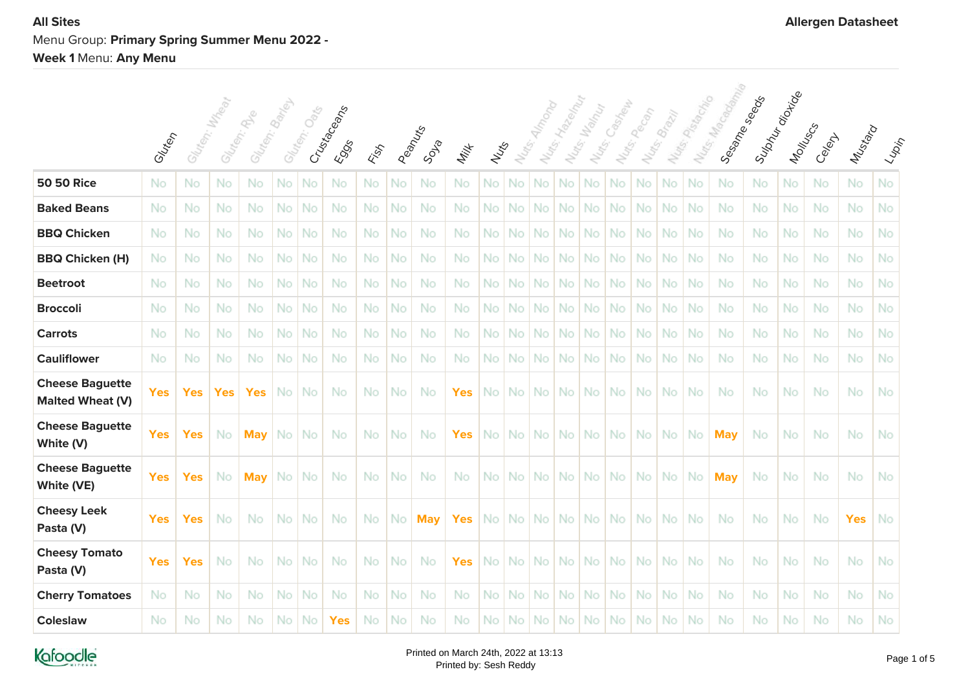# **All Sites Allergen Datasheet** Menu Group: **Primary Spring Summer Menu 2022 - Week 1** Menu: **Any Menu**

|                                                   | Gluten     | Gluten: Mystead |            | Gluten: Baris<br>Glaten: River |     | Gluten, Oaks | Crustecements<br><b>E</b> SOS | Kist      |    | Peanus<br>Soula | Milk       | Nuts | Nuts. |           | Notis: Hyden My<br>$N_{U_{1S}^*}$ | Walnut<br>Nats. | Casheup | Nuts: Pecon | Nutri, Brazil | Nutes Passage | Nurs, Macagami | Supply of option<br>Sessine Seeds | Montuscs  | Celent | Mustard    | $\langle \iota_{\!\scriptscriptstyle\mathcal{W}\! \scriptscriptstyle\mathcal{P}}\rangle_{\!\scriptscriptstyle\mathcal{P}}$ |
|---------------------------------------------------|------------|-----------------|------------|--------------------------------|-----|--------------|-------------------------------|-----------|----|-----------------|------------|------|-------|-----------|-----------------------------------|-----------------|---------|-------------|---------------|---------------|----------------|-----------------------------------|-----------|--------|------------|----------------------------------------------------------------------------------------------------------------------------|
| <b>50 50 Rice</b>                                 | No         | No              | No         | No                             | No  | No           | No                            | No        | No | No              | No         | No   | No    | No        | No                                | No              | No      | No          | No            | No            | No             | No                                | No        | No     | No.        | No                                                                                                                         |
| <b>Baked Beans</b>                                | No         | No              | No         | No                             | No  | No           | No                            | No.       | No | No              | No         | No   | No    | No        | No                                | No              | No.     | <b>No</b>   | No.           | No            | No.            | No                                | No        | No     | No.        | No                                                                                                                         |
| <b>BBQ Chicken</b>                                | No         | No              | No         | No                             | No  | No           | No                            | No        | No | No              | No         | No.  | No    | No        | No                                | No              | No.     | No          | No.           | No            | No.            | No                                | No        | No     | No         | No                                                                                                                         |
| <b>BBQ Chicken (H)</b>                            | No         | No              | No         | No                             | No  | No           | No                            | No        | No | No              | No         | No   | No    | No        | No                                | No              | No.     | No          | No            | No            | No             | No                                | No        | No     | No         | No                                                                                                                         |
| <b>Beetroot</b>                                   | No         | No              | No         | No                             | No  | No           | No                            | No.       | No | No              | No         | No   | No    | No        | No                                | <b>No</b>       | No.     | No          | No.           | No            | No.            | No.                               | <b>No</b> | No     | No.        | No                                                                                                                         |
| <b>Broccoli</b>                                   | No         | No              | No.        | No                             | No. | No           | No                            | No.       | No | No              | No         | No.  | No    | <b>No</b> | No.                               | <b>No</b>       | No.     | No.         | No.           | -No           | No.            | No                                | No        | No     | No.        | No                                                                                                                         |
| <b>Carrots</b>                                    | No         | No              | No         | No                             | No  | No           | No                            | No        | No | No              | No         | No.  | No    | No        | No                                | No              | No.     | No          | No.           | No            | No             | No                                | No        | No     | No         | No                                                                                                                         |
| <b>Cauliflower</b>                                | No         | No              | No         | No                             | No  | No           | No                            | No        | No | No              | No         | No   | No    | No        | No                                | No              | No      | No          | No            | No            | No             | No                                | No        | No     | No         | No                                                                                                                         |
| <b>Cheese Baguette</b><br><b>Malted Wheat (V)</b> | <b>Yes</b> | <b>Yes</b>      | <b>Yes</b> | <b>Yes</b>                     | No  | No           | No                            | <b>No</b> | No | No              | <b>Yes</b> | No.  | No    | No.       | No.                               | No              | No.     | No.         | No.           | No            | No             | No                                | No        | No     | No         | No                                                                                                                         |
| <b>Cheese Baguette</b><br>White (V)               | <b>Yes</b> | <b>Yes</b>      | No         | <b>May</b>                     | No. | No           | No                            | No.       | No | No              | <b>Yes</b> | No.  | No    | No.       | No.                               | No.             | No.     | No.         | No.           | No            | <b>May</b>     | No.                               | <b>No</b> | No     | No.        | No                                                                                                                         |
| <b>Cheese Baguette</b><br>White (VE)              | <b>Yes</b> | <b>Yes</b>      | No         | <b>May</b>                     | No  | No           | No                            | No.       | No | No              | No         | No.  | No.   | No.       | No                                | No.             | No l    | No.         | No.           | No.           | <b>May</b>     | No.                               | No        | No     | No.        | <b>No</b>                                                                                                                  |
| <b>Cheesy Leek</b><br>Pasta (V)                   | <b>Yes</b> | <b>Yes</b>      | No         | No                             | No  | No           | No                            | No.       | No | <b>May</b>      | <b>Yes</b> | No.  | No    | <b>No</b> | No.                               | No              | No.     | <b>No</b>   | No.           | No            | No             | No                                | No        | No     | <b>Yes</b> | No                                                                                                                         |
| <b>Cheesy Tomato</b><br>Pasta (V)                 | <b>Yes</b> | <b>Yes</b>      | No         | No                             | No  | No           | No                            | No.       | No | No              | <b>Yes</b> | No.  | No    | No        | No.                               | No.             | No.     | No.         | No.           | -No           | No.            | No.                               | No        | No     | No.        | -No                                                                                                                        |
| <b>Cherry Tomatoes</b>                            | No         | No              | No         | No                             | No  | No           | No                            | No.       | No | No              | No         | No.  | No    | No        | No                                | No              | No      | No.         | No            | No            | No.            | No                                | No        | No     | No.        | -No                                                                                                                        |
| <b>Coleslaw</b>                                   | No         | No              | No         | No                             | No  | No           | <b>Yes</b>                    | No        | No | No              | No         | No   | No    | No.       | No.                               | No              | No.     | No          | No.           | No            | No             | No                                | No        | No     | No         | No                                                                                                                         |

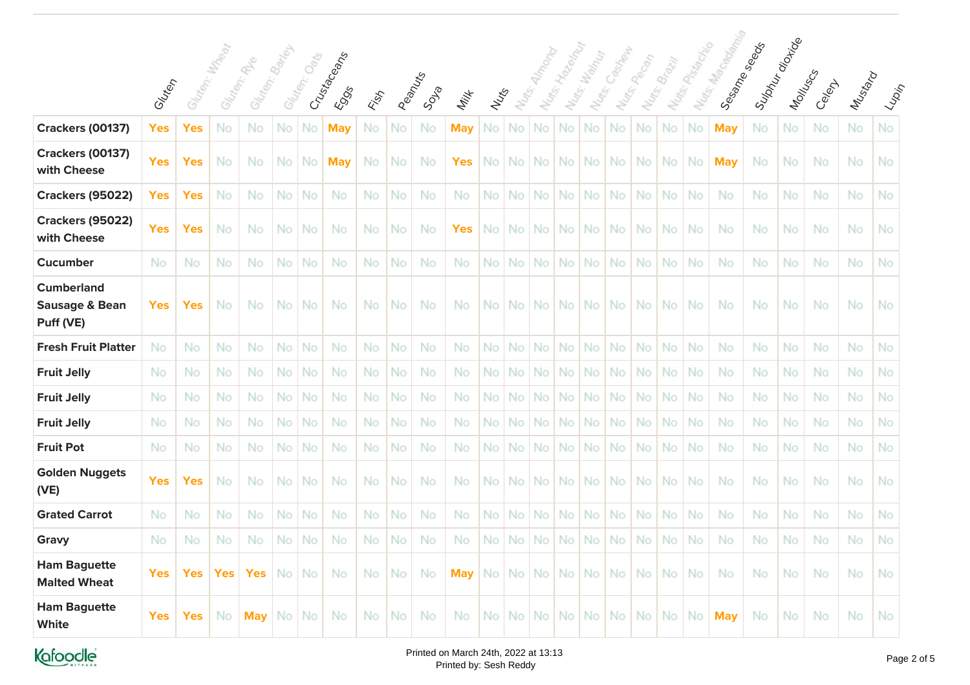|                                                             |            |                 |            | $\phi_{\!\scriptscriptstyle\!S\!}^{\!\scriptscriptstyle\!S\!}$ | Bariley | $O_{\!\!\delta\!\eta\!\!\delta}^{\not\sim}$ |                             |     |    |                  |            |      |        |                   |                   | Walnut              | Casinewa          | Pecan             | <b>Brazil</b> | I Natis Pista data | Muts. Map Good Room | Supply digital<br>Sesame seeds |           |           |           |                                                                                                                                |
|-------------------------------------------------------------|------------|-----------------|------------|----------------------------------------------------------------|---------|---------------------------------------------|-----------------------------|-----|----|------------------|------------|------|--------|-------------------|-------------------|---------------------|-------------------|-------------------|---------------|--------------------|---------------------|--------------------------------|-----------|-----------|-----------|--------------------------------------------------------------------------------------------------------------------------------|
|                                                             | Glutery    | Gluten: William | Gluter,    | Gluten:                                                        | Gluter. |                                             | Crustaceans<br><b>E</b> SOS | ESS |    | Peanuxs<br>Soula | Milk       | Nuts | Nutes. | Nu <sub>dge</sub> | Nu <sub>dge</sub> | Nu <sub>tts</sub> . | Nu <sub>dge</sub> | Nu <sub>dge</sub> |               |                    |                     |                                | Montuscs  | Celent    | Mustard   | $\langle \varphi_{\!\scriptscriptstyle \mathcal{D}}_{i\!{\scriptscriptstyle \mathcal{D}}_j\!{\scriptscriptstyle \mathcal{D}}}$ |
| <b>Crackers (00137)</b>                                     | Yes        | <b>Yes</b>      | No         | No                                                             | No      | No                                          | <b>May</b>                  | No  | No | No               | <b>May</b> | No   | No     | No                | No                | No                  | No.               | No                | No            | No                 | <b>May</b>          | No                             | No        | No        | No        | No                                                                                                                             |
| <b>Crackers (00137)</b><br>with Cheese                      | <b>Yes</b> | <b>Yes</b>      | No.        | No                                                             | No.     | <b>No</b>                                   | <b>May</b>                  | No. | No | No               | <b>Yes</b> | No I |        | No No             | No                | No.                 | No l              | No.               | No No         |                    | <b>May</b>          | No                             | No        | No        | No        | No                                                                                                                             |
| <b>Crackers (95022)</b>                                     | <b>Yes</b> | <b>Yes</b>      | No         | No                                                             | No      | No                                          | No                          | No. | No | No               | No         | No.  | No     | No                | No                | No                  | No.               | No                | No            | No                 | <b>No</b>           | No                             | No        | No        | <b>No</b> | No                                                                                                                             |
| <b>Crackers (95022)</b><br>with Cheese                      | <b>Yes</b> | <b>Yes</b>      | No         | No                                                             | No.     | No                                          | No                          | No. | No | No               | <b>Yes</b> | No.  | No     | No.               | No.               | No                  | No.               | No.               | No.           | -No                | No                  | No.                            | No        | No        | No        | No                                                                                                                             |
| <b>Cucumber</b>                                             | No         | No              | No         | No                                                             | No      | No                                          | No                          | No  | No | No               | No         | No   | No     | No                | No                | No                  | <b>No</b>         | No                | No            | No                 | <b>No</b>           | No.                            | No        | No        | <b>No</b> | No                                                                                                                             |
| <b>Cumberland</b><br><b>Sausage &amp; Bean</b><br>Puff (VE) | <b>Yes</b> | <b>Yes</b>      | <b>No</b>  | No                                                             | No.     | No                                          | No                          | No. | No | No               | No         | No I |        |                   | No No No          | No.                 | No I              | No.               | No   No       |                    | <b>No</b>           | No.                            | <b>No</b> | No        | No.       | -No                                                                                                                            |
| <b>Fresh Fruit Platter</b>                                  | No         | No              | No         | No                                                             | No      | No                                          | No                          | No  | No | No               | No         | No.  | No     | No                | No                | No                  | No.               | No                | No.           | No                 | No                  | No                             | No        | No        | <b>No</b> | No                                                                                                                             |
| <b>Fruit Jelly</b>                                          | No         | No              | No         | No                                                             | No      | No                                          | No                          | No. | No | No               | No         | No   | No     | No                | No                | No                  | No.               | No                | No            | No                 | <b>No</b>           | No                             | No        | No        | <b>No</b> | No                                                                                                                             |
| <b>Fruit Jelly</b>                                          | No         | No              | No         | No                                                             | No      | No                                          | No                          | No. | No | No               | No         | No   | No     | No                | No                | No                  | No.               | No                | No.           | No                 | No.                 | No.                            | No        | No        | No.       | No                                                                                                                             |
| <b>Fruit Jelly</b>                                          | No         | No              | No         | No                                                             | No      | No                                          | No                          | No  | No | No               | No         | No   | No     | No                | No                | No                  | <b>No</b>         | No                | No            | No                 | No.                 | No                             | No        | No        | No        | No                                                                                                                             |
| <b>Fruit Pot</b>                                            | No         | No              | No         | No                                                             | No      | No                                          | No                          | No. | No | No               | No         | No.  | No     | No                | No.               | <b>No</b>           | No.               | No                | No            | -No                | No                  | No                             | No        | <b>No</b> | No.       | No                                                                                                                             |
| <b>Golden Nuggets</b><br>(VE)                               | <b>Yes</b> | <b>Yes</b>      | No         | No                                                             | No.     | No                                          | No                          | No. | No | No               | No         | No.  | No.    | No.               | No.               | No.                 | No l              | No.               | No   No       |                    | No.                 | No                             | No        | No        | No        | No                                                                                                                             |
| <b>Grated Carrot</b>                                        | No         | No              | No         | No                                                             | No      | No                                          | No                          | No. | No | No               | No         | No.  | No     | No                | No                | No                  | No.               | No                | No.           | No                 | No.                 | No                             | <b>No</b> | No        | No        | No                                                                                                                             |
| Gravy                                                       | No         | No              | No         | No.                                                            | No      | No                                          | No                          | No. | No | No               | No         | No.  | No     | No                | <b>No</b>         | No                  | No.               | No                | No            | No                 | No.                 | No                             | No        | No        | No        | No                                                                                                                             |
| <b>Ham Baguette</b><br><b>Malted Wheat</b>                  | <b>Yes</b> | <b>Yes</b>      | <b>Yes</b> | <b>Yes</b>                                                     | No.     | No                                          | No                          | No. | No | No               | <b>May</b> | No.  | No.    | No.               | No.               | No                  | No.               | No.               | No.           | No.                | No                  | No                             | No        | No        | No        | -No                                                                                                                            |
| <b>Ham Baguette</b><br><b>White</b>                         | <b>Yes</b> | Yes             | No         | <b>May</b>                                                     | No      | No                                          | No                          | No  | No | No               | No         | No.  | No     | No.               | No.               | No                  | No.               | No.               | No.           | No                 | <b>May</b>          | No.                            | No.       | No        | No        | No                                                                                                                             |

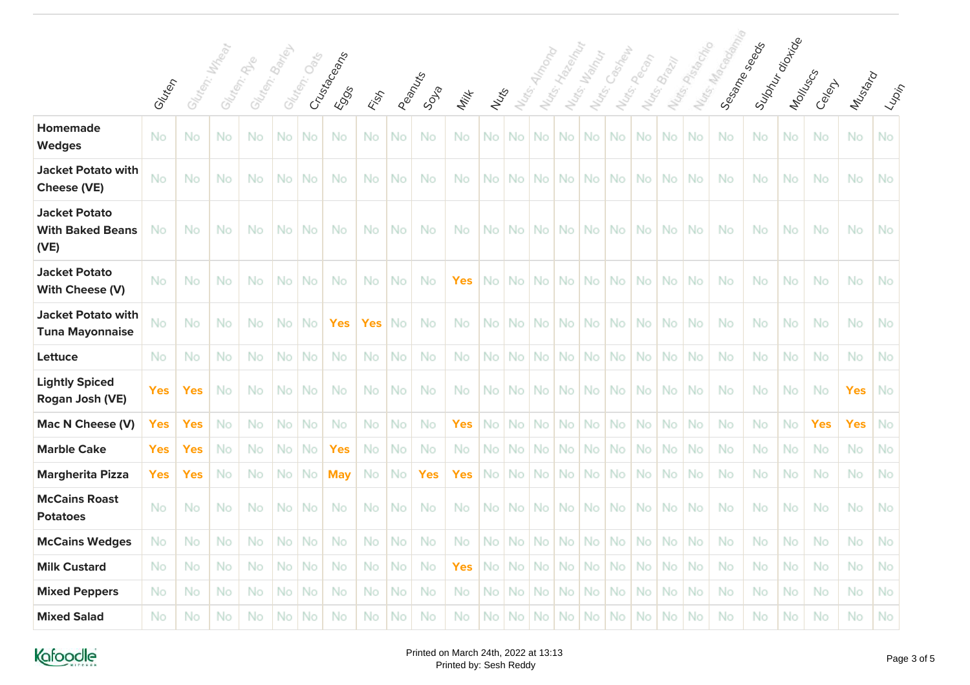|                                                         | Gluten     |            | Gluten: Mxdeet | Gluten: Banky<br>Gliten: River |           | Gluten: Oak | Crustecements<br><b>ESSS</b> | EST        |    | Peanus<br>Soula | Milk       | Nuts      | Nuts. |           | Nuts: Hallow River | Nutrs: Wallace | Nats: Cashep | Nuts.pecon | Nutes Brazil | I Notes Passage | I Nats: Macagonia | Supply director<br>Sessime Seeds | Montuscs | Celent     | Mustard    |    |
|---------------------------------------------------------|------------|------------|----------------|--------------------------------|-----------|-------------|------------------------------|------------|----|-----------------|------------|-----------|-------|-----------|--------------------|----------------|--------------|------------|--------------|-----------------|-------------------|----------------------------------|----------|------------|------------|----|
| <b>Homemade</b><br><b>Wedges</b>                        | No         | No         | No             | No                             | <b>No</b> | No          | No                           | No         | No | No              | No         | No        | No    | No        | No                 | <b>No</b>      | No.          | No         | No           | No              | No                | No                               | No       | No         | No         | No |
| <b>Jacket Potato with</b><br>Cheese (VE)                | No         | No         | No             | No                             | No.       | No          | No                           | No         | No | No              | No         | No.       | No    | <b>No</b> | No.                | -No            | No.          | No.        | No.          | No              | No.               | No.                              | No       | No         | No.        | No |
| <b>Jacket Potato</b><br><b>With Baked Beans</b><br>(VE) | No         | No         | No             | No                             | No        | No.         | No                           | No         | No | No              | No         | No        | No    | No.       | No.                | <b>No</b>      | No.          | No.        | No.          | No              | No                | No                               | No       | No.        | No.        | No |
| <b>Jacket Potato</b><br>With Cheese (V)                 | No         | No         | No             | No                             | No.       | No          | No                           | <b>No</b>  | No | No              | <b>Yes</b> | No        | No    | No.       | No.                | No             | No.          | No.        | No.          | No              | No.               | No                               | No       | No.        | No         | No |
| <b>Jacket Potato with</b><br><b>Tuna Mayonnaise</b>     | No         | No         | No             | No                             | No.       | No          | <b>Yes</b>                   | <b>Yes</b> | No | No              | No         | No.       | No    | No        | No.                | No             | No.          | No.        | No.          | No              | No.               | No                               | No       | No         | No         | No |
| Lettuce                                                 | No         | No         | No             | No                             | No        | No          | No                           | No         | No | No              | No         | No        | No    | No        | No                 | No             | No           | No         | No           | No              | No.               | No                               | No       | No         | No         | No |
| <b>Lightly Spiced</b><br>Rogan Josh (VE)                | <b>Yes</b> | <b>Yes</b> | No             | No                             | No.       | No          | No                           | No.        | No | No              | No         | No        | No.   | No.       | No.                | -No            | No.          | <b>No</b>  | No.          | -No             | No.               | No                               | No       | No         | <b>Yes</b> | No |
| Mac N Cheese (V)                                        | <b>Yes</b> | <b>Yes</b> | No             | No.                            | No.       | No          | No                           | No         | No | No              | <b>Yes</b> | No        | No    | <b>No</b> | No.                | <b>No</b>      | No.          | <b>No</b>  | No.          | No              | No.               | No                               | No       | <b>Yes</b> | <b>Yes</b> | No |
| <b>Marble Cake</b>                                      | <b>Yes</b> | <b>Yes</b> | No             | No                             | No.       | No          | <b>Yes</b>                   | No         | No | No              | No         | No        | No    | No        | No.                | No             | No.          | No         | No           | No              | <b>No</b>         | No                               | No       | No.        | <b>No</b>  | No |
| <b>Margherita Pizza</b>                                 | <b>Yes</b> | <b>Yes</b> | No             | No.                            | No.       | No          | <b>May</b>                   | No         | No | <b>Yes</b>      | <b>Yes</b> | No        | No    | No        | No.                | No             | No.          | <b>No</b>  | No.          | No              | No.               | No                               | No       | No.        | No         | No |
| <b>McCains Roast</b><br><b>Potatoes</b>                 | No         | No         | No             | No                             | No.       | No          | No                           | No         | No | No              | No         | No.       | No    | No.       | No.                | No             | No.          | No         | No.          | No              | No.               | No                               | No       | No.        | No         | No |
| <b>McCains Wedges</b>                                   | No.        | No         | No             | No.                            | No        | No          | No                           | No         | No | No              | No         | No        | No    | <b>No</b> | No.                | No             | No.          | No         | No           | No              | No.               | No                               | No       | <b>No</b>  | <b>No</b>  | No |
| <b>Milk Custard</b>                                     | No         | No         | No             | No.                            | No.       | No          | No                           | <b>No</b>  | No | No              | <b>Yes</b> | <b>No</b> | No    | No        | No.                | No             | No.          | No.        | No.          | No              | No.               | No.                              | No       | No.        | No.        | No |
| <b>Mixed Peppers</b>                                    | No         | No         | No             | No                             | No.       | No          | No                           | No         | No | No              | No         | No        | No    | No        | No.                | No             | No           | No         | No           | No              | No.               | No                               | No       | No.        | No         | No |
| <b>Mixed Salad</b>                                      | No         | No         | No             | No                             | No.       | No          | No                           | No.        | No | No              | No         | No        | No.   | No.       | No.                | No.            | No.          | No.        | No           | No              | No                | No                               | No       | No         | No         | No |

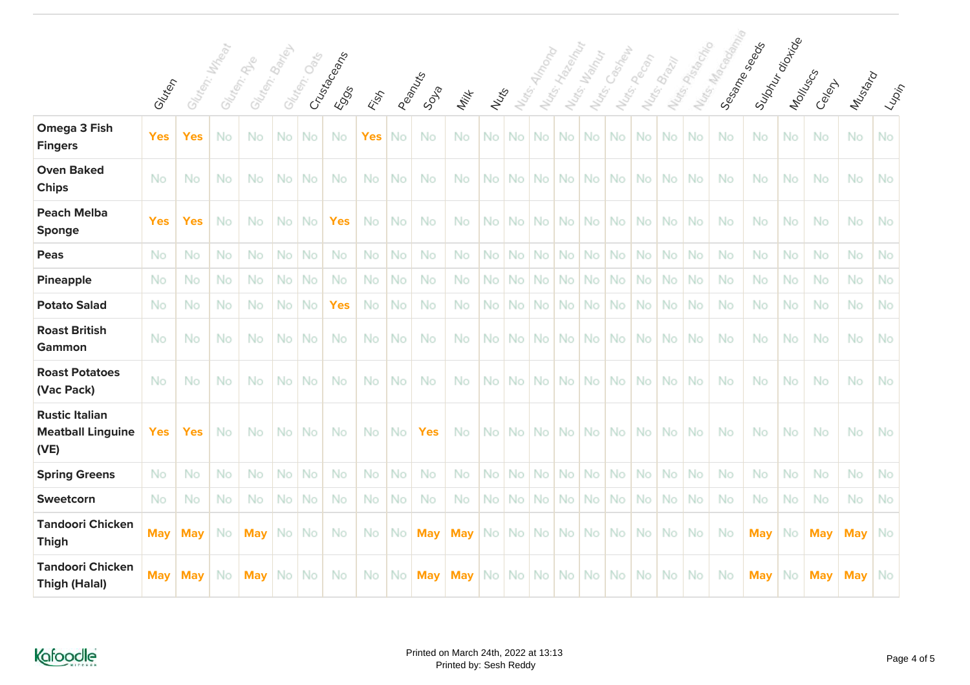|                                                           |            |                 |     |                                |           |             |                      |            |    |                |            |      |                   |           |                 |                      | Casineway |             |              |               |                |                                     |          |            |            |     |
|-----------------------------------------------------------|------------|-----------------|-----|--------------------------------|-----------|-------------|----------------------|------------|----|----------------|------------|------|-------------------|-----------|-----------------|----------------------|-----------|-------------|--------------|---------------|----------------|-------------------------------------|----------|------------|------------|-----|
|                                                           | Gluten     | Gliten: Mx Teat |     | Gluten: Banev<br>Gliten: River |           | Gluten: Oak | Crusta Ceans<br>EOSS | ESS        |    | Reamuns<br>SDR | Milk       | Nuts | Nu <sub>dge</sub> |           | Nats: Ha Readan | Nutrs: Wahy<br>Nuts. |           | Nuts: Pecon | Notre Brazil | Mutes Passage | Nurse Macademy | Sulphy<br>Marting<br>Sessines Seeds | Moltuscs | Celexy     | Mustard    |     |
| Omega 3 Fish<br><b>Fingers</b>                            | <b>Yes</b> | Yes             | No  | No                             | No        | No          | No                   | <b>Yes</b> | No | No             | No         | No.  | No                | No        | No.             | No                   | No.       | No          | <b>No</b>    | No            | No.            | No                                  | No       | No         | No         | No  |
| <b>Oven Baked</b><br><b>Chips</b>                         | No         | No              | No  | No                             | No.       | No          | No                   | No.        | No | No             | No         | No.  | No                | No.       | No I            | No                   | No.       | No.         | No.          | <b>No</b>     | No             | No                                  | No       | No         | No.        | No  |
| <b>Peach Melba</b><br>Sponge                              | <b>Yes</b> | <b>Yes</b>      | No  | No                             | No        | No          | <b>Yes</b>           | No         | No | No             | No         | No   | No                | <b>No</b> | No.             | No                   | No.       | No.         | No.          | No            | No             | No                                  | No       | No         | No.        | No  |
| <b>Peas</b>                                               | No         | No              | No  | No                             | No.       | No          | No                   | No         | No | No             | No         | No   | No                | No        | No.             | No                   | No.       | No.         | No.          | No            | No             | No                                  | No       | No         | No         | No  |
| <b>Pineapple</b>                                          | No         | No              | No. | No                             | No        | No          | No                   | No         | No | No             | No         | No   | No                | No        | No              | No                   | No.       | No          | No           | No            | No.            | No.                                 | No       | No         | <b>No</b>  | No  |
| <b>Potato Salad</b>                                       | No         | No              | No  | No                             | No        | No          | <b>Yes</b>           | No.        | No | No             | No         | No.  | No                | No        | No              | No.                  | <b>No</b> | No          | No           | No            | No.            | No.                                 | No       | No         | No.        | No  |
| <b>Roast British</b><br>Gammon                            | No         | No              | No  | No                             | <b>No</b> | No          | No                   | No         | No | No             | No         | No.  | No                | No        | No.             | <b>No</b>            | No.       | No.         | No.          | <b>No</b>     | No             | No.                                 | No       | No         | No.        | No  |
| <b>Roast Potatoes</b><br>(Vac Pack)                       | No         | No              | No  | No                             | No        | No          | No                   | No         | No | No             | No         | No.  | No                | No.       | No.             | No                   | No.       | No.         | <b>No</b>    | No            | No.            | No                                  | No       | No         | No         | No  |
| <b>Rustic Italian</b><br><b>Meatball Linguine</b><br>(VE) | <b>Yes</b> | <b>Yes</b>      | No  | No                             | No.       | No          | No                   | No         | No | <b>Yes</b>     | No         | No.  | No                | No.       | No              | <b>No</b>            | No.       | No.         | No.          | -No           | No             | No.                                 | No       | No         | No.        | No  |
| <b>Spring Greens</b>                                      | No         | No              | No. | No                             | No        | No          | No                   | No.        | No | No             | No         | No.  | No                | No        | No              | No                   | <b>No</b> | No.         | No           | No            | No.            | No.                                 | No       | No         | No.        | No  |
| Sweetcorn                                                 | No         | No              | No  | No                             | No        | No          | No                   | No         | No | No             | No         | No   | No                | No        | No              | No                   | No        | No          | No           | No            | No.            | No                                  | No       | No         | No.        | No  |
| <b>Tandoori Chicken</b><br><b>Thigh</b>                   | <b>May</b> | <b>May</b>      | No  | <b>May</b>                     | No.       | No          | No                   | No         | No | <b>May</b>     | <b>May</b> | No.  | No I              |           | No No           | No                   | No.       | No.         | No.          | -No           | No             | <b>May</b>                          | No       | <b>May</b> | <b>May</b> | -No |
| <b>Tandoori Chicken</b><br><b>Thigh (Halal)</b>           | <b>May</b> | <b>May</b>      | No  | <b>May</b>                     | No        | No          | No                   | No         | No | <b>May</b>     | <b>May</b> | No.  | No                | No.       | No.             | No                   | No.       | No.         | No           | No            | No             | <b>May</b>                          | No       | <b>May</b> | <b>May</b> | No  |



Yan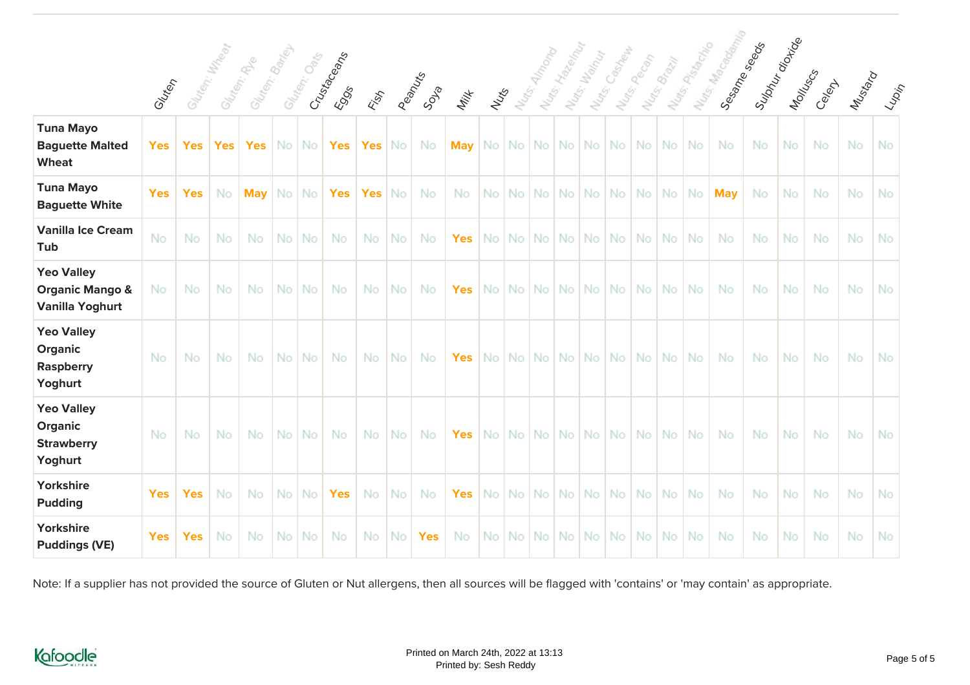|                                                                           |            | Gluten: William |            | Glaser Banks |      |             |                       |                   |           |               |            |       | Nuts: Almoque | Nuts: Hadeput |              | Nuts: Cashella              |           |              | Nuts Passantino | Nurs, Macason<br>Sessime Seepers | Sulphyration |           |           |         |                                                             |
|---------------------------------------------------------------------------|------------|-----------------|------------|--------------|------|-------------|-----------------------|-------------------|-----------|---------------|------------|-------|---------------|---------------|--------------|-----------------------------|-----------|--------------|-----------------|----------------------------------|--------------|-----------|-----------|---------|-------------------------------------------------------------|
|                                                                           | Gluten     |                 |            | Glates, Be   |      | Gluten: Oek | Crustecements<br>EOSS | <b>Fish</b>       |           | Peanus<br>SDR | Milk       | Nutre |               |               | Notes: Maple |                             | Nunco Ran | Nutts Brazil |                 |                                  |              | MONUSCS   | Celexy    | Mustard | $\epsilon_{\varphi_{\mathrm{2}\nu_{\mathrm{7}\mathrm{y}}}}$ |
| <b>Tuna Mayo</b><br><b>Baguette Malted</b><br><b>Wheat</b>                | <b>Yes</b> | <b>Yes</b>      | <b>Yes</b> | <b>Yes</b>   |      | No No       | Yes                   | Yes $\mathsf{No}$ |           | No.           |            |       |               |               |              |                             |           |              |                 | <b>No</b>                        | No.          | <b>No</b> | <b>No</b> | No.     | <b>No</b>                                                   |
| <b>Tuna Mayo</b><br><b>Baguette White</b>                                 | <b>Yes</b> | <b>Yes</b>      | <b>No</b>  | <b>May</b>   |      | No No       | <b>Yes</b>            | Yes               | <b>No</b> | No.           | No.        |       |               |               |              | No   No   No   No   No   No |           | No No No     |                 | <b>May</b>                       | No.          | No        | No        | No.     | <b>No</b>                                                   |
| <b>Vanilla Ice Cream</b><br>Tub                                           | No         | No              | No         | <b>No</b>    | No.  | No          | No                    | No.               | No.       | No.           | <b>Yes</b> |       |               |               |              | No   No   No   No   No   No |           | No No No     |                 | <b>No</b>                        | No           | No        | No        | No.     | No                                                          |
| <b>Yeo Valley</b><br><b>Organic Mango &amp;</b><br><b>Vanilla Yoghurt</b> | No         | No              | No         | <b>No</b>    |      | No No       | No                    | No.               | No        | No.           | <b>Yes</b> |       |               |               |              | No   No   No   No   No   No |           | No No No     |                 | <b>No</b>                        | No.          | No        | <b>No</b> | No.     | <b>No</b>                                                   |
| <b>Yeo Valley</b><br>Organic<br><b>Raspberry</b><br>Yoghurt               | No         | No              | No         | No           | No.  | No          | No                    | No.               | No.       | No.           | <b>Yes</b> |       |               |               |              | No   No   No   No   No   No |           | No No No     |                 | No                               | No.          | No        | No        | No.     | No                                                          |
| <b>Yeo Valley</b><br>Organic<br><b>Strawberry</b><br>Yoghurt              | <b>No</b>  | No              | No         | <b>No</b>    | No I | No          | No                    | No.               | No.       | No.           | $Yes \mid$ |       |               |               |              |                             |           |              |                 | No.                              | No.          | <b>No</b> | No        | No.     | No                                                          |
| Yorkshire<br><b>Pudding</b>                                               | <b>Yes</b> | <b>Yes</b>      | No         | No.          | No I | No.         | <b>Yes</b>            | No.               | No.       | No            | <b>Yes</b> |       |               |               |              | No   No   No   No   No   No |           | No   No   No |                 | No                               | No           | No        | No        | No.     | <b>No</b>                                                   |
| Yorkshire<br><b>Puddings (VE)</b>                                         | <b>Yes</b> | <b>Yes</b>      | No         | No           | No I | No.         | No                    | No.               | No I      | <b>Yes</b>    | No         |       |               |               |              | No   No   No   No   No   No |           | No   No   No |                 | No                               | No           | No        | No        | No      | No                                                          |



b.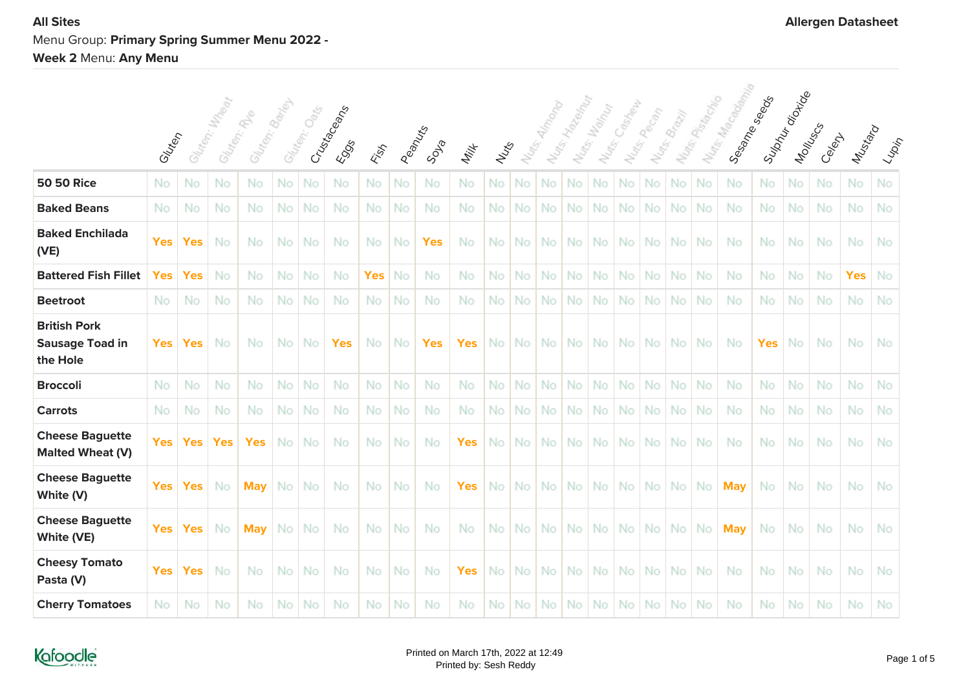# **All Sites Allergen Datasheet** Menu Group: **Primary Spring Summer Menu 2022 - Week 2** Menu: **Any Menu**

|                                                           | Gluten     |            | Gluten: Mx Rear | Gluten: Banco<br>Glaten: River |     | Glates, Catal | Crustaceans<br>EOSS | Fish       |           | Peanus<br>SDSB | Milk       | Nuts | Nu <sub>dge</sub> . |     | Notes-Hagen | Nutes: Wallach | Notis: Castleby | Nuts: people | Nutes Brazil | Nuts Passage | Nos Marcosoming<br>Sessine Steeper | Suphyration | Montuscs | Celent | Mustard    | $\langle \iota_{\!\scriptscriptstyle\mathcal{W}\! \scriptscriptstyle\mathcal{P}}\rangle_{\!\scriptscriptstyle\mathcal{P}}$ |
|-----------------------------------------------------------|------------|------------|-----------------|--------------------------------|-----|---------------|---------------------|------------|-----------|----------------|------------|------|---------------------|-----|-------------|----------------|-----------------|--------------|--------------|--------------|------------------------------------|-------------|----------|--------|------------|----------------------------------------------------------------------------------------------------------------------------|
| <b>50 50 Rice</b>                                         | No         | No         | No              | No                             | No  | No            | No                  | No         | No        | No             | No         | No   | No                  | No  | No          | No             | No              | No           | No           | No           | No                                 | No          | No       | No     | No         | No.                                                                                                                        |
| <b>Baked Beans</b>                                        | No         | No         | No              | No.                            | No  | No            | No                  | No         | No        | No             | No.        | No   | No                  | No  | No          | No             | No              | No           | No           | No           | No                                 | No          | No       | No     | No         | No                                                                                                                         |
| <b>Baked Enchilada</b><br>(VE)                            | <b>Yes</b> | <b>Yes</b> | No              | No                             | No  | No            | No                  | No         | No        | <b>Yes</b>     | No         | No   | No.                 | No  | No          | No.            | No              | No.          | No           | No           | No                                 | No          | No       | No     | No         | <b>No</b>                                                                                                                  |
| <b>Battered Fish Fillet</b>                               | Yes        | <b>Yes</b> | No              | No.                            | No  | No            | No                  | <b>Yes</b> | No        | No             | No         | No   | No.                 | No  | No          | No.            | No.             | No.          | No           | <b>No</b>    | <b>No</b>                          | No.         | No       | No     | <b>Yes</b> | No                                                                                                                         |
| <b>Beetroot</b>                                           | No.        | No         | No              | No.                            | No  | <b>No</b>     | No                  | No         | No        | <b>No</b>      | No         | No   | No.                 | No. | No          | No.            | No.             | No.          | No           | No           | No                                 | No.         | No       | No     | No         | No                                                                                                                         |
| <b>British Pork</b><br><b>Sausage Toad in</b><br>the Hole | <b>Yes</b> | <b>Yes</b> | No              | No.                            | No. | -No           | <b>Yes</b>          | No         | <b>No</b> | <b>Yes</b>     | <b>Yes</b> | No   | No l                | No. | No.         | No.            | No.             | No.          | <b>No</b>    | No.          | No                                 | <b>Yes</b>  | No       | No     | No.        | No.                                                                                                                        |
| <b>Broccoli</b>                                           | No.        | No         | No              | No                             | No  | No            | No                  | <b>No</b>  | No        | No             | No         | No   | No.                 | No  | No          | No             | No              | No.          | No           | No           | No                                 | <b>No</b>   | No       | No     | No         | No                                                                                                                         |
| <b>Carrots</b>                                            | No         | No         | No              | No                             | No  | No            | No                  | No         | No        | No             | No         | No   | No                  | No  | No          | No             | No              | No           | No           | No           | No                                 | No          | No       | No     | No         | No                                                                                                                         |
| <b>Cheese Baguette</b><br><b>Malted Wheat (V)</b>         | <b>Yes</b> | <b>Yes</b> | <b>Yes</b>      | <b>Yes</b>                     | No  | <b>No</b>     | No                  | No         | No        | No             | <b>Yes</b> | No   | No.                 | No  | No          | No.            | No l            | No.          | No           | No           | -No                                | No          | No       | No     | No         | <b>No</b>                                                                                                                  |
| <b>Cheese Baguette</b><br>White (V)                       | <b>Yes</b> | <b>Yes</b> | No.             | <b>May</b>                     | No. | -No           | No                  | No         | No        | No             | <b>Yes</b> | No   | No.                 | No. | No.         | No.            | No No           |              | No           | No.          | <b>May</b>                         | No          | No       | No     | No.        | No                                                                                                                         |
| <b>Cheese Baguette</b><br>White (VE)                      | <b>Yes</b> | <b>Yes</b> | No              | <b>May</b>                     | No. | -No           | No                  | No         | No        | No             | No.        | No   | No.                 | No. | No.         | No.            |                 | No   No      | No           | No.          | <b>May</b>                         | No.         | No       | No     | No.        | No                                                                                                                         |
| <b>Cheesy Tomato</b><br>Pasta (V)                         | <b>Yes</b> | <b>Yes</b> | No              | No                             | No  | -No           | No                  | No         | No        | No             | Yes        | No   | No.                 | No. | No          | No.            | No I            | No.          | No           | No           | No                                 | No          | No       | No     | No         | No.                                                                                                                        |
| <b>Cherry Tomatoes</b>                                    | No.        | No         | No              | No                             | No. | No.           | No                  | No.        | No        | No             | No         | No.  | No.                 | No. |             | No No          | No No           |              | No.          | No.          | No                                 | No.         | No       | No     | No.        | No                                                                                                                         |

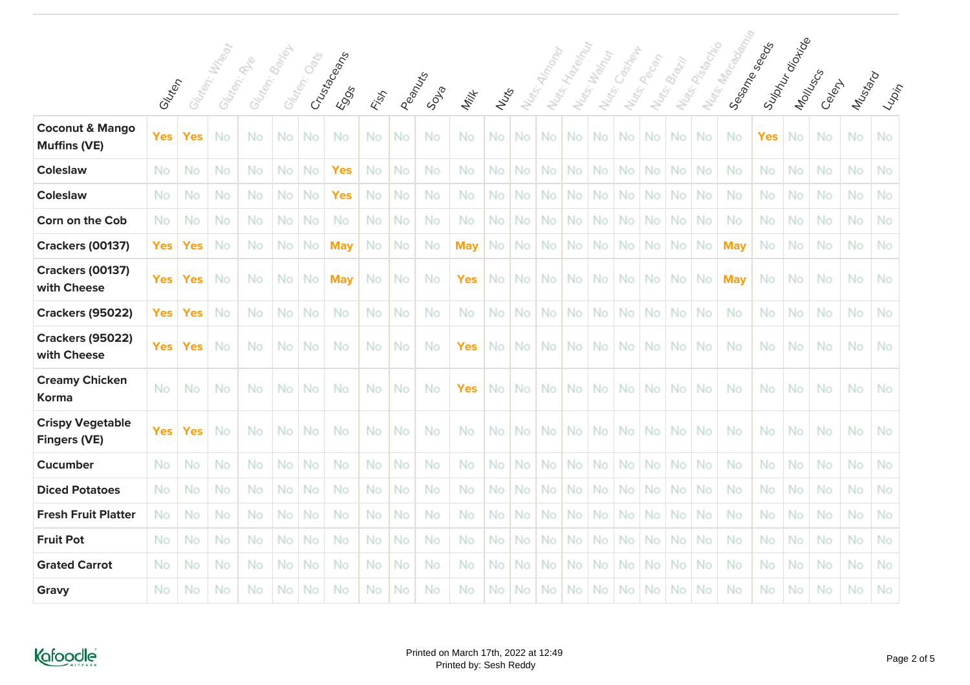|                                                   |            |            | W Tear | Gluten: Banky |     |             |                             |     |         |      |            |           |                   |     | Notis: Hydeband |                         | Castrew   |             |              | Nurs Passage | Nurse Ma <sub>Godam</sub><br>Sessime Steepers | Supply director |          |        |         |                                                                                                                                |
|---------------------------------------------------|------------|------------|--------|---------------|-----|-------------|-----------------------------|-----|---------|------|------------|-----------|-------------------|-----|-----------------|-------------------------|-----------|-------------|--------------|--------------|-----------------------------------------------|-----------------|----------|--------|---------|--------------------------------------------------------------------------------------------------------------------------------|
|                                                   | Gluten     | Gluten:    |        | Gliten: Re    |     | Gluten: Oak | Crusta Ceans<br><b>ESSS</b> | ESS | Peanufs | SDAB | Milk       | Nuts      | Nu <sub>dg.</sub> |     |                 | Nuts: Vallant<br>Notes: |           | Nuts: Pecon | Nutes Brazil |              |                                               |                 | Montuscs | Celexy | Mustard | $\langle \varphi_{\!\scriptscriptstyle \mathcal{D}}_{i\!{\scriptscriptstyle \mathcal{D}}_j\!{\scriptscriptstyle \mathcal{D}}}$ |
| <b>Coconut &amp; Mango</b><br><b>Muffins (VE)</b> | <b>Yes</b> | <b>Yes</b> | No     | No            | No. | No          | No                          | No  | No      | No   | No.        | <b>No</b> | No.               | No. | <b>No</b>       | No.                     | No.       | No.         | No           | No           | No                                            | <b>Yes</b>      | No       | No     | No      | No.                                                                                                                            |
| <b>Coleslaw</b>                                   | No         | No         | No     | No.           | No  | No          | <b>Yes</b>                  | No  | No      | No   | No.        | No        | No.               | No  | No              | No                      | No        | <b>No</b>   | No           | No           | No                                            | No              | No       | No     | No      | No.                                                                                                                            |
| <b>Coleslaw</b>                                   | No         | No         | No     | No.           | No  | No          | <b>Yes</b>                  | No  | No      | No   | No.        | No        | No.               | No. | No              | No.                     | <b>No</b> | No.         | <b>No</b>    | No           | No                                            | <b>No</b>       | No       | No     | No      | No                                                                                                                             |
| Corn on the Cob                                   | No         | No         | No     | No.           | No  | No          | No                          | No  | No      | No   | No.        | No        | <b>No</b>         | No  | No              | No                      | No        | <b>No</b>   | No           | No           | No                                            | No              | No       | No     | No.     | No                                                                                                                             |
| <b>Crackers (00137)</b>                           | <b>Yes</b> | <b>Yes</b> | No     | No.           | No  | No          | <b>May</b>                  | No  | No      | No.  | <b>May</b> | No        | No.               | No. | No              | No.                     | No.       | No.         | No           | No           | <b>May</b>                                    | <b>No</b>       | No       | No     | No      | No.                                                                                                                            |
| <b>Crackers (00137)</b><br>with Cheese            | <b>Yes</b> | <b>Yes</b> | No     | No            | No  | No          | <b>May</b>                  | No  | No      | No   | Yes        | No        | No.               | No  | <b>No</b>       | No.                     | No.       | No.         | No           | <b>No</b>    | <b>May</b>                                    | No              | No       | No     | No      | <b>No</b>                                                                                                                      |
| <b>Crackers (95022)</b>                           | <b>Yes</b> | <b>Yes</b> | No     | No            | No  | No          | No                          | No  | No      | No   | No         | No        | No.               | No  | No              | No                      | No        | No          | No           | No           | No                                            | No              | No       | No     | No      | No                                                                                                                             |
| <b>Crackers (95022)</b><br>with Cheese            | <b>Yes</b> | <b>Yes</b> | No     | No            | No  | No          | No                          | No  | No      | No   | Yes        | No        | No.               | No. | No              | No                      | No        | No.         | No           | No           | -No                                           | No              | No       | No     | No      | No                                                                                                                             |
| <b>Creamy Chicken</b><br>Korma                    | No         | No         | No     | No            | No  | No          | No                          | No  | No      | No   | Yes        | No        | No.               | No. | <b>No</b>       | No.                     | No I      | No.         | No.          | No           | No                                            | No              | No       | No     | No      | No                                                                                                                             |
| <b>Crispy Vegetable</b><br><b>Fingers (VE)</b>    | <b>Yes</b> | <b>Yes</b> | No     | No            | No  | No          | No                          | No  | No      | No   | No         | No        | No.               | No. | <b>No</b>       | <b>No</b>               | <b>No</b> | No.         | No           | No           | No                                            | No              | No       | No     | No      | <b>No</b>                                                                                                                      |
| <b>Cucumber</b>                                   | No         | No         | No     | No            | No  | No          | No                          | No  | No      | No   | No         | No        | <b>No</b>         | No  | No              | No                      | No        | No.         | No           | No           | No                                            | No              | No       | No     | No      | No                                                                                                                             |
| <b>Diced Potatoes</b>                             | No         | No         | No     | No            | No  | No          | No                          | No  | No      | No   | No.        | No        | No.               | No  | No              | No                      | No        | No          | No           | No           | No                                            | No              | No       | No     | No      | No.                                                                                                                            |
| <b>Fresh Fruit Platter</b>                        | No.        | No         | No     | No.           | No  | No          | No                          | No  | No      | No   | No.        | No        | No.               | No  | No              | No.                     | <b>No</b> | No.         | <b>No</b>    | <b>No</b>    | No                                            | No.             | No       | No     | No      | No                                                                                                                             |
| <b>Fruit Pot</b>                                  | No         | No         | No     | No            | No  | No          | No                          | No  | No      | No   | No         | No        | No.               | No  | No              | No                      | No        | No.         | No           | No           | No                                            | No              | No       | No     | No      | No                                                                                                                             |
| <b>Grated Carrot</b>                              | No         | No         | No     | No            | No  | No          | No                          | No  | No      | No   | No         | No        | No.               | No  | No              | No                      | No        | No.         | No           | <b>No</b>    | No                                            | No              | No       | No     | No.     | No.                                                                                                                            |
| Gravy                                             | No         | No         | No     | No            | No  | No          | No                          | No  | No      | No   | No         | No        | No.               | No  | No              | No                      | No        | No          | No           | No           | No                                            | No              | No       | No     | No      | No.                                                                                                                            |

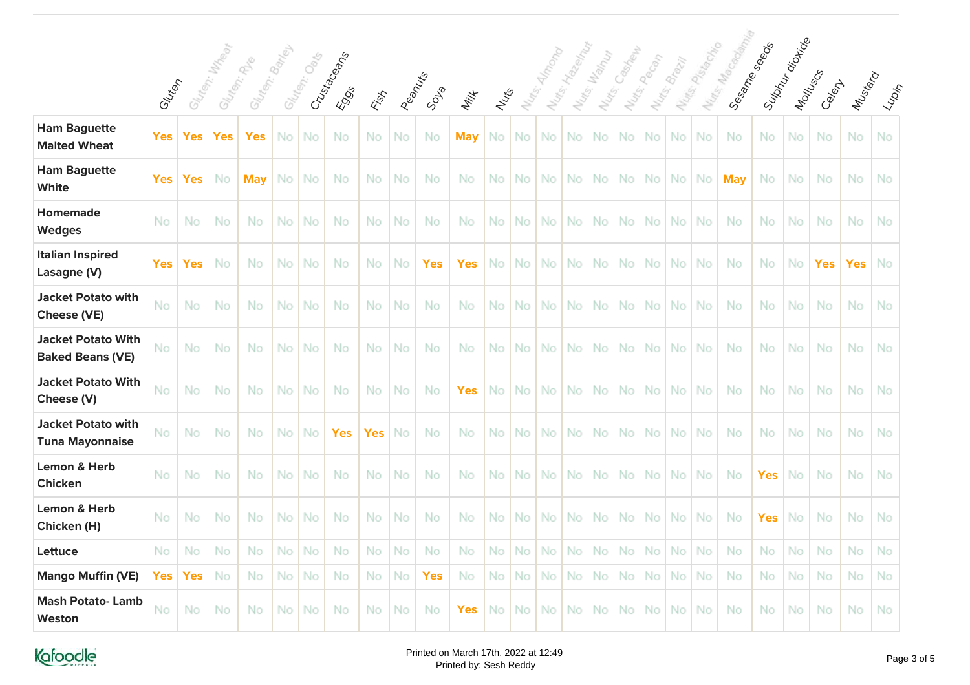|                                                      |            |            |               |                             |           |              |                             |           |    |                |            |           |                   |     |              |                       | Cashell   |               |              |            |                        |            |                         |            |            |                                            |
|------------------------------------------------------|------------|------------|---------------|-----------------------------|-----------|--------------|-----------------------------|-----------|----|----------------|------------|-----------|-------------------|-----|--------------|-----------------------|-----------|---------------|--------------|------------|------------------------|------------|-------------------------|------------|------------|--------------------------------------------|
|                                                      | Gluten     |            | Gluten: Water | Gluten: Bayl<br>Gluten: App |           | Gluten: Oats | Crustaceans<br><b>E</b> SOS | Fish      |    | Peanus<br>SDIP | Milk       | Nuts      | Nu <sub>dge</sub> |     | Nuts: Hallow | Nutes Manut<br>Notes: |           | Nutsi, people | Nuts: Brazil | Nues Pasta | Nutes Ma<br>Sesame see |            | Sulphur ois<br>Montuscy | Celent     | Mustard    | $\epsilon_{\varphi_{\alpha_{i_{\gamma}}}}$ |
| <b>Ham Baguette</b><br><b>Malted Wheat</b>           | <b>Yes</b> | Yes        | Yes           | <b>Yes</b>                  | No.       | No           | No                          | No        | No | No             | <b>May</b> | No        | No.               | No  | No           | No                    | No        | No            | No           | No         | No                     | No         | No                      | No         | No         | No                                         |
| <b>Ham Baguette</b><br>White                         | <b>Yes</b> | Yes        | No            | <b>Mav</b>                  | No.       | No           | No                          | Νo        | No | No             | No         | No        | No.               | No. | No.          | No.                   | No.       | No.           | No.          | No         | <b>May</b>             | No         | No                      | No         | No         | No                                         |
| <b>Homemade</b><br><b>Wedges</b>                     | <b>No</b>  | No         | No            | No                          | No        | No           | No                          | No.       | No | No             | No.        | No        | No.               | No. | No.          | No.                   | No.       | No.           | No           | No         | No                     | No         | No                      | No         | No         | No                                         |
| <b>Italian Inspired</b><br>Lasagne (V)               | <b>Yes</b> | <b>Yes</b> | <b>No</b>     | No                          | No.       | No           | No                          | No.       | No | Yes            | Yes        | No        | No.               | No. | No.          | No.                   | No.       | No.           | No           | <b>No</b>  | No                     | No         | No.                     | <b>Yes</b> | <b>Yes</b> | <b>No</b>                                  |
| <b>Jacket Potato with</b><br><b>Cheese (VE)</b>      | No         | No         | No            | No                          | No        | No           | No                          | No.       | No | No             | No         | No        | No.               | No. | <b>No</b>    | No.                   | <b>No</b> | No.           | <b>No</b>    | <b>No</b>  | No                     | <b>No</b>  | No                      | <b>No</b>  | <b>No</b>  | No                                         |
| <b>Jacket Potato With</b><br><b>Baked Beans (VE)</b> | No         | No         | No            | No                          | <b>No</b> | No           | No                          | No        | No | No             | No         | No        | No.               | No. | <b>No</b>    | No.                   | No.       | No.           | No           | <b>No</b>  | No                     | <b>No</b>  | No                      | No         | No         | No                                         |
| <b>Jacket Potato With</b><br>Cheese (V)              | No         | No         | No            | No                          | <b>No</b> | No           | No                          | No.       | No | No             | Yes        | No        | No.               | No. | <b>No</b>    | No.                   | No.       | No.           | No           | <b>No</b>  | No                     | <b>No</b>  | No                      | <b>No</b>  | No         | <b>No</b>                                  |
| <b>Jacket Potato with</b><br><b>Tuna Mayonnaise</b>  | No         | No         | No            | No                          | No.       | No           | <b>Yes</b>                  | Yes       | No | No             | No.        | <b>No</b> | No.               | No. | No.          | No.                   | No.       | No.           | <b>No</b>    | <b>No</b>  | No                     | <b>No</b>  | No.                     | No         | No.        | No                                         |
| <b>Lemon &amp; Herb</b><br><b>Chicken</b>            | No         | No         | No            | No                          | <b>No</b> | No           | No                          | No.       | No | No.            | No         | No        | No.               | No. | No.          | No.                   | No.       | No.           | <b>No</b>    | <b>No</b>  | No                     | <b>Yes</b> | No                      | <b>No</b>  | <b>No</b>  | No                                         |
| <b>Lemon &amp; Herb</b><br>Chicken (H)               | No         | No         | No            | No                          | No.       | No           | No                          | No.       | No | No             | No         | No        | No.               | No. | No.          | No.                   | No.       | No.           | <b>No</b>    | <b>No</b>  | No                     | <b>Yes</b> | No                      | <b>No</b>  | <b>No</b>  | No                                         |
| Lettuce                                              | No         | No         | No            | No                          | No        | No           | <b>No</b>                   | <b>No</b> | No | No.            | No         | No        | No.               | No  | No           | No                    | No.       | No.           | No           | <b>No</b>  | No.                    | No         | No                      | No         | <b>No</b>  | <b>No</b>                                  |
| <b>Mango Muffin (VE)</b>                             | <b>Yes</b> | <b>Yes</b> | No            | No                          | No        | No           | No.                         | No        | No | <b>Yes</b>     | No.        | No        | <b>No</b>         | No  | No           | No                    | No        | No.           | No           | No         | No.                    | No         | No                      | No         | No         | <b>No</b>                                  |
| <b>Mash Potato-Lamb</b><br>Weston                    | No         | No         | No            | No                          | No.       | No           | No                          | No.       | No | No             | Yes        | No.       | No.               | No. | No.          | No.                   | No l      | No.           | No           | <b>No</b>  | No                     | <b>No</b>  | No                      | <b>No</b>  | No         | <b>No</b>                                  |



seeds

orizioe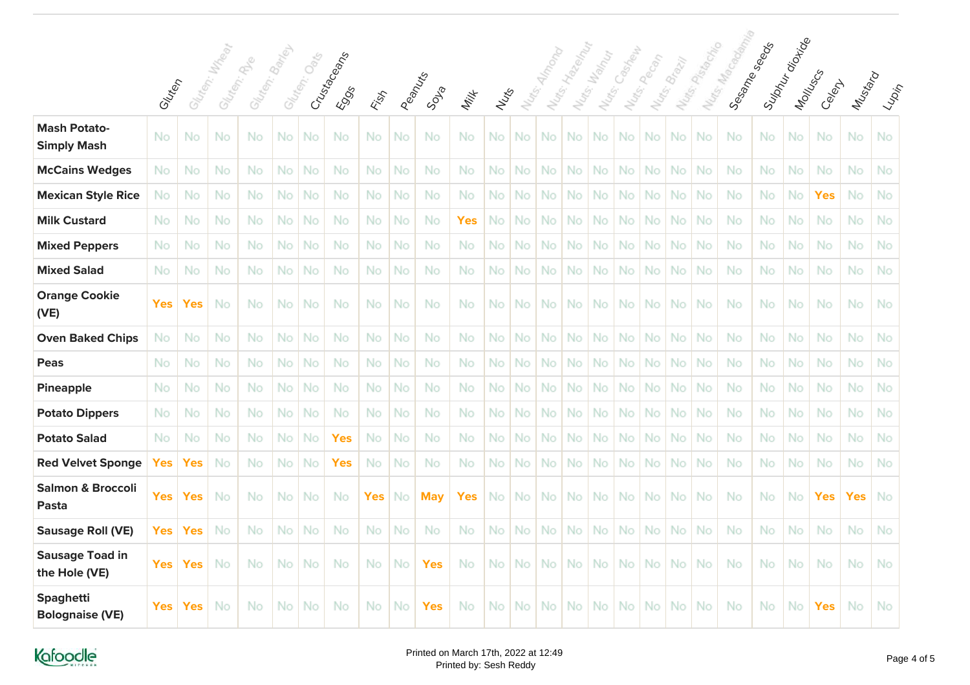|                                            |            |            | William | $\phi_{\!\scriptscriptstyle\! S}^{\!\scriptscriptstyle\! C}$ | $\mathcal{S}_{\partial r_{f_{\mathcal{O}_{j}}}}$ | $O_{\!\!\delta\!\!\!i\,\!\!\delta\!\!}$ |                            |      |        |            |            |      |                   |                   |     |                                      | Castrew           | Pecan             | <b>Brazil</b> |                                |                           |                            |           |            |            |                                                                                                                                                             |
|--------------------------------------------|------------|------------|---------|--------------------------------------------------------------|--------------------------------------------------|-----------------------------------------|----------------------------|------|--------|------------|------------|------|-------------------|-------------------|-----|--------------------------------------|-------------------|-------------------|---------------|--------------------------------|---------------------------|----------------------------|-----------|------------|------------|-------------------------------------------------------------------------------------------------------------------------------------------------------------|
|                                            | Gluten     | Gluter:    | Gluten: | Glutery.                                                     | Glutery.                                         |                                         | Crustaceans<br><b>ESSS</b> | Fish | Peanus | SDR        | Milk       | Nuts | Nu <sub>dg.</sub> | Nu <sub>dge</sub> |     | Nutrs: Van Mut<br>Nu <sub>dg</sub> . | Nu <sub>dge</sub> | Nu <sub>dge</sub> |               | Nu <sub>tor Pista de Dia</sub> | Murray Ma <sub>Godd</sub> | Suphyroja.<br>Sesame seads | Montuscs  | Celept     | Mustard    | $\langle \iota_{\!\mathop{\mathop{\vphantom{\dagger}\smash{\partial_{\!\mathop{\mathop{\scriptscriptstyle N}}}}}}\nolimits^{\prime}} \rangle_{\!\!\varphi}$ |
| <b>Mash Potato-</b><br><b>Simply Mash</b>  | No         | No         | No      | No                                                           | No                                               | No                                      | No                         | No   | No     | No         | No.        | No   | No.               | No                | No  | No                                   | No                | No.               | No            | No                             | No                        | No                         | No        | No         | No         | No                                                                                                                                                          |
| <b>McCains Wedges</b>                      | No         | No         | No      | No                                                           | No                                               | No                                      | No                         | No   | No     | <b>No</b>  | No         | No   | No.               | No                | No  | No                                   | <b>No</b>         | No                | No            | No                             | No                        | No                         | No        | No         | No         | No.                                                                                                                                                         |
| <b>Mexican Style Rice</b>                  | Νo         | No         | No      | No                                                           | No                                               | No                                      | <b>No</b>                  | No   | No     | <b>No</b>  | No.        | No   | No.               | No                | No  | No                                   | <b>No</b>         | No.               | No            | No                             | <b>No</b>                 | No.                        | No        | <b>Yes</b> | No         | No.                                                                                                                                                         |
| <b>Milk Custard</b>                        | No         | No         | No      | No                                                           | No                                               | No                                      | No                         | No   | No     | <b>No</b>  | <b>Yes</b> | No   | <b>No</b>         | No.               | No  | No                                   | <b>No</b>         | No.               | <b>No</b>     | No                             | <b>No</b>                 | No                         | No        | No         | No         | No                                                                                                                                                          |
| <b>Mixed Peppers</b>                       | No         | No         | No      | No                                                           | No                                               | No                                      | No                         | No   | No     | <b>No</b>  | No.        | No   | <b>No</b>         | No                | No  | No                                   | No                | No.               | No            | No                             | No                        | No                         | No        | No         | No         | No.                                                                                                                                                         |
| <b>Mixed Salad</b>                         | No         | No         | No      | No                                                           | No                                               | No                                      | No                         | No   | No     | No.        | No.        | No   | No.               | No                | No  | No                                   | No                | No.               | No            | <b>No</b>                      | No.                       | No                         | No        | No         | No         | No.                                                                                                                                                         |
| <b>Orange Cookie</b><br>(VE)               | <b>Yes</b> | <b>Yes</b> | No      | No                                                           | No                                               | No                                      | No                         | No   | No     | No         | No         | No   | No.               | <b>No</b>         | No  | No.                                  | No                | No.               | No            | No.                            | No                        | No                         | No        | No         | No         | No                                                                                                                                                          |
| <b>Oven Baked Chips</b>                    | No.        | No         | No      | No                                                           | No                                               | No                                      | No                         | No   | No     | No.        | No.        | No   | No                | No                | No  | No                                   | No                | No                | No            | No                             | No.                       | No                         | No        | No         | No         | No.                                                                                                                                                         |
| Peas                                       | No         | No         | No      | No                                                           | No                                               | No                                      | No                         | No   | No     | No         | No         | No   | No.               | No                | No  | No.                                  | No.               | No.               | No            | No                             | No                        | No                         | No        | No         | No         | No                                                                                                                                                          |
| <b>Pineapple</b>                           | No         | No         | No      | No                                                           | No                                               | No                                      | <b>No</b>                  | No   | No     | No.        | No.        | No   | No.               | No                | No  | No                                   | No                | No.               | No            | No                             | No.                       | No                         | No        | No         | No         | No.                                                                                                                                                         |
| <b>Potato Dippers</b>                      | No         | No         | No      | No                                                           | No                                               | No                                      | No                         | No   | No     | No         | No.        | No   | <b>No</b>         | No                | No  | No                                   | No                | No                | No            | No                             | No                        | No                         | No        | No         | No         | No.                                                                                                                                                         |
| <b>Potato Salad</b>                        | No         | No         | No      | No                                                           | No                                               | No                                      | <b>Yes</b>                 | No   | No     | No.        | No         | No   | No.               | No                | No  | No                                   | No                | No.               | No            | No                             | No                        | No                         | No        | No         | No         | No.                                                                                                                                                         |
| <b>Red Velvet Sponge</b>                   | <b>Yes</b> | <b>Yes</b> | No      | No                                                           | No                                               | No                                      | <b>Yes</b>                 | No   | No     | No.        | No.        | No   | <b>No</b>         | No                | No  | No                                   | No                | No                | No            | No                             | No.                       | No                         | No        | No         | No         | No.                                                                                                                                                         |
| <b>Salmon &amp; Broccoli</b><br>Pasta      | <b>Yes</b> | <b>Yes</b> | No      | No                                                           | No.                                              | -No                                     | No                         | Yes  | No     | <b>May</b> | Yes        | No.  | No.               | No.               | No. | No.                                  | No.               | No.               | <b>No</b>     | No.                            | No                        | No.                        | <b>No</b> | <b>Yes</b> | <b>Yes</b> | No                                                                                                                                                          |
| <b>Sausage Roll (VE)</b>                   | <b>Yes</b> | <b>Yes</b> | No      | No                                                           | No                                               | No                                      | No                         | No   | No     | No         | No.        | No   | <b>No</b>         | No                | No  | No                                   | No                | No                | No            | No                             | No                        | No                         | No        | No         | No         | No                                                                                                                                                          |
| <b>Sausage Toad in</b><br>the Hole (VE)    | Yes        | <b>Yes</b> | No      | No                                                           | No.                                              | -No                                     | No                         | No   | No     | <b>Yes</b> | No.        | No.  | No.               | No.               | No. | No.                                  | No l              | No.               | No            | No.                            | No.                       | No.                        | <b>No</b> | No         | No.        | No.                                                                                                                                                         |
| <b>Spaghetti</b><br><b>Bolognaise (VE)</b> | <b>Yes</b> | Yes        | No      | No                                                           | No                                               | No                                      | No                         | No   | No     | <b>Yes</b> | No         | No.  | No.               | No                | No. | No.                                  | No l              | No.               | No            | No                             | No.                       | No.                        | No        | <b>Yes</b> | No         | No                                                                                                                                                          |

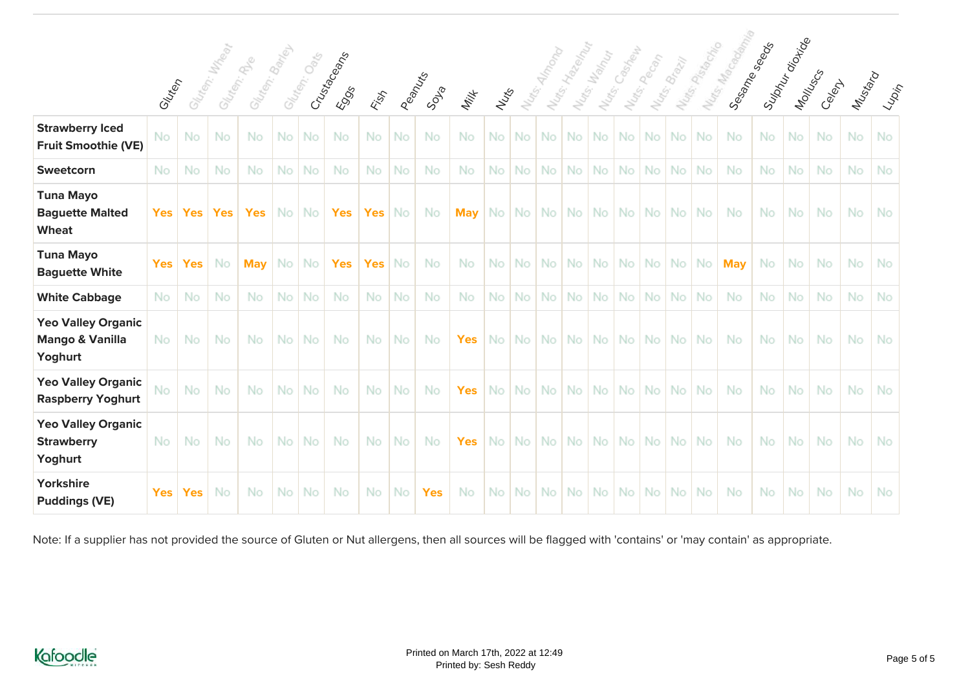|                                                                    |            |            |               |                              |           |               |                     |            |           |            |            |      |       |      |                  |                             | Castrew |             |              | Nuts: Placedon | Nuts Ma <sub>Goodm</sub><br>Sesame seads | Sulphur diction |           |           |           |                                                                                                                                                                                                                                                                                                                                                                                                                                                                                                                                                                                                                                                                                                                                           |
|--------------------------------------------------------------------|------------|------------|---------------|------------------------------|-----------|---------------|---------------------|------------|-----------|------------|------------|------|-------|------|------------------|-----------------------------|---------|-------------|--------------|----------------|------------------------------------------|-----------------|-----------|-----------|-----------|-------------------------------------------------------------------------------------------------------------------------------------------------------------------------------------------------------------------------------------------------------------------------------------------------------------------------------------------------------------------------------------------------------------------------------------------------------------------------------------------------------------------------------------------------------------------------------------------------------------------------------------------------------------------------------------------------------------------------------------------|
|                                                                    | Gluten     |            | Sliter, Wales | Gluten: Bandes<br>Gliten: Re |           | Glategy: Oaks | Crustaceans<br>EOSS | Fish       | Peanuxs   | SDSB       | Milk       | Nuts | Nurg. |      | Nuts: Hagen      | Notes: Manufacture<br>Nuts. |         | Nots-people | Nuts. Brazil |                |                                          |                 | Montuscs  | Celex     | Mustard   | $\langle \iota_{\!\mathop{\mathop{\vphantom{\dagger}\hbox{$\scriptstyle\mathop{\scriptstyle\mathop{\scriptstyle\mathop{\scriptstyle\mathop{\scriptstyle\mathop{\scriptstyle\mathop{\scriptstyle\mathop{\scriptstyle\mathop{\scriptstyle\mathop{\scriptstyle\mathop{\scriptstyle\mathop{\scriptstyle\mathop{\scriptstyle\mathop{\scriptstyle\mathop{\scriptstyle\mathop{\scriptstyle\mathop{\scriptstyle\mathop{\scriptstyle\mathop{\scriptstyle\mathop{\scriptstyle\mathop{\scriptstyle\mathop{\scriptstyle\mathop{\scriptstyle\mathop{\scriptstyle\mathop{\scriptstyle\mathop{\scriptstyle\mathop{\scriptstyle\mathop{\scriptstyle\mathop{\scriptstyle\mathop{\scriptstyle\mathop{\scriptstyle\mathop{\scriptstyle\mathop{\scriptstyle\$ |
| <b>Strawberry Iced</b><br><b>Fruit Smoothie (VE)</b>               | No.        | No         | No            | No.                          | <b>No</b> | No.           | <b>No</b>           | No         | No        | No         | No         | No I | No !  | No l | (No <sup>1</sup> | <b>No</b>                   | No.     | No.         | No.          | <b>No</b>      | <b>No</b>                                | No.             | No.       | No.       | No.       | <b>No</b>                                                                                                                                                                                                                                                                                                                                                                                                                                                                                                                                                                                                                                                                                                                                 |
| Sweetcorn                                                          | No         | No         | No            | No.                          | <b>No</b> | No.           | No                  | No         | No        | <b>No</b>  | No         | No.  | No I  | No.  | No.              | No                          | No.     | No.         | No.          | No             | No                                       | <b>No</b>       | <b>No</b> | <b>No</b> | No        | <b>No</b>                                                                                                                                                                                                                                                                                                                                                                                                                                                                                                                                                                                                                                                                                                                                 |
| <b>Tuna Mayo</b><br><b>Baguette Malted</b><br>Wheat                | <b>Yes</b> | Yes        | <b>Yes</b>    | <b>Yes</b>                   |           | No No         | <b>Yes</b>          | <b>Yes</b> | No.       | No.        | <b>May</b> |      |       |      |                  | No   No   No   No   No   No |         |             | No No No     |                | <b>No</b>                                | No.             | No.       | <b>No</b> | <b>No</b> | No.                                                                                                                                                                                                                                                                                                                                                                                                                                                                                                                                                                                                                                                                                                                                       |
| <b>Tuna Mayo</b><br><b>Baguette White</b>                          | <b>Yes</b> | <b>Yes</b> | No.           | <b>May</b>                   |           | No No         | <b>Yes</b>          | <b>Yes</b> | <b>No</b> | <b>No</b>  | <b>No</b>  |      |       |      |                  | No   No   No   No   No   No |         |             | No No No     |                | <b>May</b>                               | <b>No</b>       | No.       | No.       | No.       | <b>No</b>                                                                                                                                                                                                                                                                                                                                                                                                                                                                                                                                                                                                                                                                                                                                 |
| <b>White Cabbage</b>                                               | <b>No</b>  | No         | No            | No.                          | <b>No</b> | No.           | No                  | <b>No</b>  | No        | <b>No</b>  | <b>No</b>  | No.  | No.   | No.  | No.              | No                          | No      | No.         | No.          | <b>No</b>      | <b>No</b>                                | <b>No</b>       | <b>No</b> | <b>No</b> | No        | <b>No</b>                                                                                                                                                                                                                                                                                                                                                                                                                                                                                                                                                                                                                                                                                                                                 |
| <b>Yeo Valley Organic</b><br><b>Mango &amp; Vanilla</b><br>Yoghurt | <b>No</b>  | No         | No.           | No.                          | No.       | No.           | No                  | No.        | <b>No</b> | No.        | <b>Yes</b> |      |       |      |                  |                             |         |             |              |                | <b>No</b>                                | <b>No</b>       | No I      | <b>No</b> | <b>No</b> | <b>No</b>                                                                                                                                                                                                                                                                                                                                                                                                                                                                                                                                                                                                                                                                                                                                 |
| <b>Yeo Valley Organic</b><br><b>Raspberry Yoghurt</b>              | No.        | No         | No            | No.                          | <b>No</b> | No.           | <b>No</b>           | No         | No        | <b>No</b>  | <b>Yes</b> |      |       |      |                  | No   No   No   No   No   No |         | No.         | No I         | N <sub>o</sub> | <b>No</b>                                | <b>No</b>       | No.       | No.       | No        | <b>No</b>                                                                                                                                                                                                                                                                                                                                                                                                                                                                                                                                                                                                                                                                                                                                 |
| <b>Yeo Valley Organic</b><br><b>Strawberry</b><br>Yoghurt          | <b>No</b>  | <b>No</b>  | No.           | No.                          | <b>No</b> | No.           | No                  | No.        | <b>No</b> | No         | <b>Yes</b> |      |       |      |                  | No   No   No   No   No   No |         |             | No No No     |                | <b>No</b>                                | <b>No</b>       | No I      | <b>No</b> | No.       | <b>No</b>                                                                                                                                                                                                                                                                                                                                                                                                                                                                                                                                                                                                                                                                                                                                 |
| Yorkshire<br><b>Puddings (VE)</b>                                  | <b>Yes</b> | <b>Yes</b> | No            | No.                          | <b>No</b> | No.           | No                  | No.        | No        | <b>Yes</b> | No         | No l |       |      |                  | No   No   No   No           | No I    | No.         | No.          | No.            | No                                       | No.             | No.       | No.       | No        | No.                                                                                                                                                                                                                                                                                                                                                                                                                                                                                                                                                                                                                                                                                                                                       |

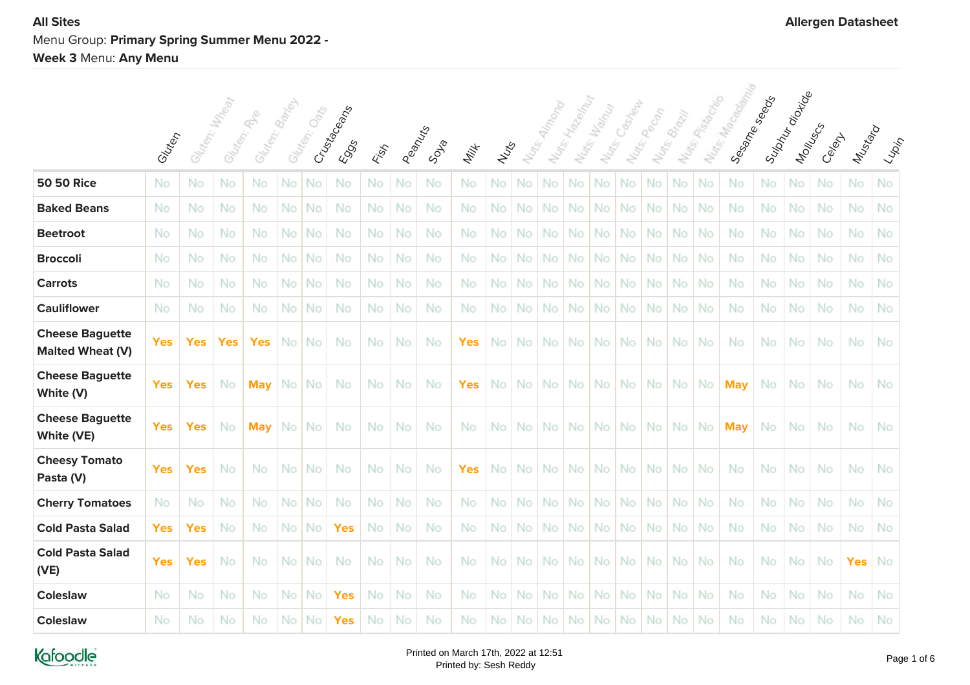# **All Sites Allergen Datasheet** Menu Group: **Primary Spring Summer Menu 2022 - Week 3** Menu: **Any Menu**

|                                                   |            |                 |            |                                |      |              |                      |     |        |           |            |      |           | <b>Almong</b> |                  |                                     | Casheur   |             |               |              |                                               |     |                            |        |            |                                                                                                                            |
|---------------------------------------------------|------------|-----------------|------------|--------------------------------|------|--------------|----------------------|-----|--------|-----------|------------|------|-----------|---------------|------------------|-------------------------------------|-----------|-------------|---------------|--------------|-----------------------------------------------|-----|----------------------------|--------|------------|----------------------------------------------------------------------------------------------------------------------------|
|                                                   | Gluten     | Glategy, Mateor |            | Gluten: Banel<br>Glater: R. R. |      | Gluten: Oats | Crusta Ceans<br>EOSS | ESS | Peanus | SDR       | Milk       | Nuts | Nurg.     |               | Nuts: Hallow Riv | Nutrs: Wally<br>Nu <sub>tts</sub> . |           | Nuts: Pecon | Nutrs, Brazil | Nurs Passage | Nos. Ma <sub>rocopio</sub><br>Sessine Steeper |     | Supply-dipting<br>Montuscs | Celent | Mustard    | $\langle \iota_{\!\scriptscriptstyle\mathcal{W}\! \scriptscriptstyle\mathcal{P}}\rangle_{\!\scriptscriptstyle\mathcal{P}}$ |
| <b>50 50 Rice</b>                                 | No         | No              | No         | No                             | No   | No           | No                   | No  | No     | No        | No         | No   | No        | No            | No               | No                                  | No        | No          | No            | No           | No                                            | No  | No                         | No     | No         | No                                                                                                                         |
| <b>Baked Beans</b>                                | No         | No              | No         | No.                            | No I | No           | No                   | No  | No     | No.       | No.        | No.  | No.       | <b>No</b>     | No               | <b>No</b>                           | No.       | No.         | No            | <b>No</b>    | No.                                           | No. | No                         | No     | No.        | No                                                                                                                         |
| <b>Beetroot</b>                                   | No         | No              | No         | No                             | No I | No           | No                   | No  | No     | <b>No</b> | No         | No   | No.       | <b>No</b>     | No               | No                                  | No.       | No.         | No            | No           | No                                            | No  | No                         | No     | No         | No                                                                                                                         |
| <b>Broccoli</b>                                   | No         | No              | No         | No.                            | No I | No           | No                   | No  | No     | No.       | No.        | No   | No.       | No            | No.              | No                                  | No.       | No.         | No            | <b>No</b>    | No.                                           | No  | No                         | No     | No.        | No                                                                                                                         |
| <b>Carrots</b>                                    | No         | No              | No         | <b>No</b>                      | No I | No           | No                   | No  | No     | <b>No</b> | No.        | No   | No.       | No            | No.              | No                                  | <b>No</b> | No.         | No            | No           | No.                                           | No  | No                         | No     | No         | No                                                                                                                         |
| <b>Cauliflower</b>                                | No         | No              | No         | No.                            | No I | No           | No                   | No  | No     | No.       | No.        | No   | No.       | <b>No</b>     | No.              | <b>No</b>                           | No.       | No.         | No            | No           | No                                            | No  | No                         | No     | No.        | No                                                                                                                         |
| <b>Cheese Baguette</b><br><b>Malted Wheat (V)</b> | <b>Yes</b> | <b>Yes</b>      | <b>Yes</b> | <b>Yes</b>                     | No I | No           | No                   | No  | No     | No        | Yes        | No.  | No.       | <b>No</b>     | No.              | No                                  | No.       | No.         | No.           | <b>No</b>    | No                                            | No  | No                         | No     | No         | No                                                                                                                         |
| <b>Cheese Baguette</b><br>White (V)               | <b>Yes</b> | <b>Yes</b>      | No         | <b>May</b>                     |      | No No        | No                   | No  | No     | No        | <b>Yes</b> | No.  | No.       | <b>No</b>     | No.              | <b>No</b>                           | No.       | No.         | No.           | <b>No</b>    | <b>May</b>                                    | No. | No                         | No     | No.        | No                                                                                                                         |
| <b>Cheese Baguette</b><br>White (VE)              | <b>Yes</b> | <b>Yes</b>      | No         | <b>May</b>                     |      | No No        | No                   | No  | No     | No        | No.        |      | No   No   | <b>No</b>     |                  | No No                               | No I      | No.         | No l          | -No          | <b>May</b>                                    | No. | No                         | No     | No.        | No                                                                                                                         |
| <b>Cheesy Tomato</b><br>Pasta (V)                 | <b>Yes</b> | <b>Yes</b>      | No         | No.                            |      | No   No      | No                   | No  | No     | No.       | <b>Yes</b> |      | No   No   | <b>No</b>     | No.              | No.                                 | No.       | No.         | No.           | <b>No</b>    | No.                                           | No. | No                         | No     | No.        | No                                                                                                                         |
| <b>Cherry Tomatoes</b>                            | No         | No              | No         | No.                            | No I | No           | No                   | No  | No     | <b>No</b> | <b>No</b>  | No   | No.       | No            | No               | No                                  | No.       | No.         | No            | No           | No                                            | No  | No                         | No     | No.        | No                                                                                                                         |
| <b>Cold Pasta Salad</b>                           | <b>Yes</b> | <b>Yes</b>      | No         | No.                            | No l | No.          | <b>Yes</b>           | No  | No     | No.       | No.        | No   | No.       | <b>No</b>     | No.              | <b>No</b>                           | No.       | No.         | No            | <b>No</b>    | No.                                           | No. | No                         | No     | No.        | No                                                                                                                         |
| <b>Cold Pasta Salad</b><br>(VE)                   | <b>Yes</b> | <b>Yes</b>      | No         | No                             | No I | No.          | No                   | No  | No     | No        | No.        | No   | No.       | No.           | No.              | <b>No</b>                           | No.       | No.         | No            | <b>No</b>    | No                                            | No  | No                         | No     | <b>Yes</b> | No                                                                                                                         |
| <b>Coleslaw</b>                                   | No         | No              | No         | No.                            | No.  | No           | <b>Yes</b>           | No  | No     | <b>No</b> | No.        | No   | <b>No</b> | No            | No               | No                                  | No        | No.         | No            | <b>No</b>    | No.                                           | No  | No                         | No     | No         | No                                                                                                                         |
| <b>Coleslaw</b>                                   | No         | No              | No         | No                             | No.  | No           | <b>Yes</b>           | No  | No     | No        | No         | No   | No.       | No            | No.              | No.                                 | No.       | No.         | No            | No           | No                                            | No  | No                         | No     | No         | No                                                                                                                         |

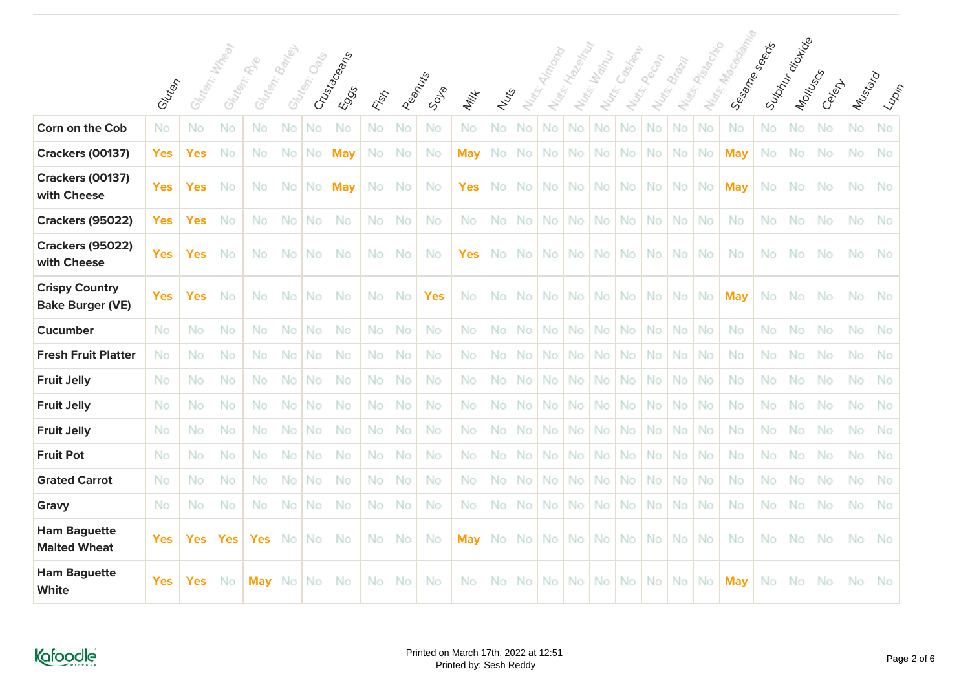|                                                  |            |               |            |                                 |      |              |                      |           |          |            |            |      |                   |     |                 |                                     | Casinewa |            |              |                   |                                    |             |          |        |           |    |
|--------------------------------------------------|------------|---------------|------------|---------------------------------|------|--------------|----------------------|-----------|----------|------------|------------|------|-------------------|-----|-----------------|-------------------------------------|----------|------------|--------------|-------------------|------------------------------------|-------------|----------|--------|-----------|----|
|                                                  | Glutery    | Gliten: Mysen |            | Gluten: Banjou<br>Gliten: River |      | Gluten, Oaks | Crusta Ceans<br>EOSS | ESS       | Peantrys | Soula      | Milk       | Nuts | Nu <sub>dge</sub> |     | Nutes-Hagendall | Nutrs: Wallach<br>Nu <sub>dge</sub> |          | Nuts.pecon | Notre Brazil | Nutsis Passantino | Mutes MacGallama<br>I Segme Seeder | Suphyration | Montuscs | Celext | Mustard   |    |
| Corn on the Cob                                  | No         | No            | No         | No                              | No   | No           | No                   | No        | No       | No         | No         | No.  | No.               | No  | No              | No                                  | No.      | No         | No           | No                | No                                 | No          | No       | No     | No        | No |
| <b>Crackers (00137)</b>                          | <b>Yes</b> | <b>Yes</b>    | No         | No                              | No   | No           | <b>May</b>           | No        | No       | No         | May        | No   | No                | No  | No              | No                                  | No       | No         | No           | No                | <b>May</b>                         | No          | No       | No     | No        | No |
| <b>Crackers (00137)</b><br>with Cheese           | <b>Yes</b> | Yes           | No         | No                              | No.  | No.          | <b>May</b>           | No        | No       | No         | Yes        | No.  | No.               | No  | No              | No                                  | No       | No         | No           | No                | <b>May</b>                         | No          | No       | No     | No        | No |
| <b>Crackers (95022)</b>                          | <b>Yes</b> | <b>Yes</b>    | No         | No                              | No.  | No           | No                   | No        | No       | No         | No         | No.  | No                | No  | No.             | No                                  | No.      | No         | No           | No                | <b>No</b>                          | No          | No       | No     | No        | No |
| <b>Crackers (95022)</b><br>with Cheese           | <b>Yes</b> | <b>Yes</b>    | No         | No                              | No I | <b>No</b>    | No                   | No.       | No       | No         | <b>Yes</b> | No I | No.               | No. | No.             | No l                                | No.      | No.        | No.          | No                | No                                 | No.         | No       | No     | No.       | No |
| <b>Crispy Country</b><br><b>Bake Burger (VE)</b> | Yes        | Yes           | No         | No                              | No.  | <b>No</b>    | No                   | No        | No       | <b>Yes</b> | No         | No.  | No.               | No. | No.             | No                                  | No.      | No.        | No.          | No                | <b>May</b>                         | No          | No       | No     | No.       | No |
| <b>Cucumber</b>                                  | No         | No            | No         | No                              | No.  | <b>No</b>    | No                   | No        | No       | No         | No.        | No.  | No                | No. | No.             | No                                  | No.      | No.        | No.          | No                | No.                                | No          | No       | No     | No        | No |
| <b>Fresh Fruit Platter</b>                       | No         | No            | No         | No                              | No   | No           | No                   | No.       | No       | No         | No         | No.  | No                | No  | No              | No                                  | No.      | No         | No           | No                | No                                 | No          | No       | No     | No        | No |
| <b>Fruit Jelly</b>                               | No         | No            | No         | No                              | No.  | No           | No                   | No        | No       | No         | No         | No   | No                | No  | No              | No                                  | No.      | No         | No           | No                | No                                 | No          | No       | No     | No        | No |
| <b>Fruit Jelly</b>                               | No         | No            | No         | No                              | No.  | No           | No                   | No        | No       | No         | No         | No.  | No                | No  | <b>No</b>       | No                                  | No.      | No         | No           | No                | No                                 | No          | No       | No     | No        | No |
| <b>Fruit Jelly</b>                               | No         | No            | No         | No                              | No.  | No           | No                   | <b>No</b> | No       | No         | No.        | No.  | No                | No  | <b>No</b>       | No                                  | No.      | No         | No           | No                | No.                                | No          | No       | No     | <b>No</b> | No |
| <b>Fruit Pot</b>                                 | No         | No            | No         | No                              | No.  | No           | No                   | No        | No       | No         | No.        | No.  | No                | No  | No              | No.                                 | No       | No         | No           | No                | No                                 | No          | No       | No     | No        | No |
| <b>Grated Carrot</b>                             | No         | No            | No         | No                              | No.  | No           | No                   | <b>No</b> | No       | No         | No.        | No.  | No                | No  | <b>No</b>       | No                                  | No.      | No         | No.          | No                | No                                 | No          | No       | No     | No        | No |
| Gravy                                            | No         | No            | No         | No                              | No.  | No           | No                   | No        | No       | No         | No         | No   | No                | No  | No              | No                                  | No       | No         | No           | No                | No                                 | No          | No       | No     | No        | No |
| <b>Ham Baguette</b><br><b>Malted Wheat</b>       | <b>Yes</b> | Yes           | <b>Yes</b> | <b>Yes</b>                      | No.  | No           | No                   | No        | No       | No         | May        | No.  | No                | No  | No              | No                                  | No       | No         | No           | No                | No                                 | No          | No       | No     | No        | No |
| <b>Ham Baguette</b><br>White                     | <b>Yes</b> | <b>Yes</b>    | No         | <b>May</b>                      | No.  | No           | No                   | No        | No       | No         | No         | No   | No                | No  | No.             | No.                                 | No.      | No.        | No.          | No                | <b>May</b>                         | No          | No       | No     | No        | No |

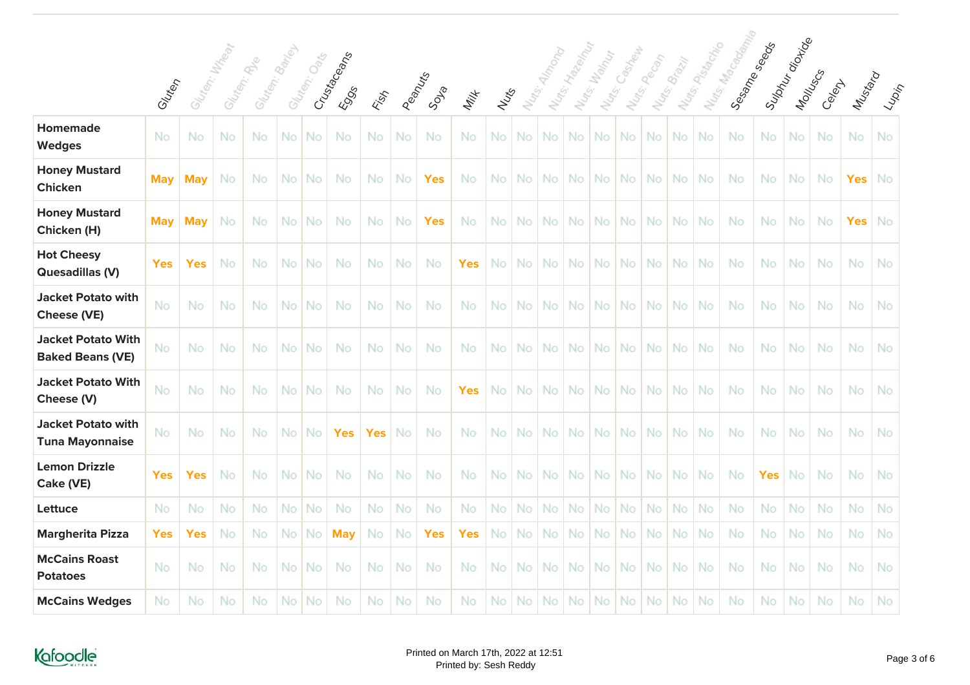|                                                      |            |                 |    |                              |      |              |                              |      |        |            |            |        |                     | <b>Almong</b> |                 |                       | Castrew   | Pecan |              |                     |                           |              |                          |          |            |                      |
|------------------------------------------------------|------------|-----------------|----|------------------------------|------|--------------|------------------------------|------|--------|------------|------------|--------|---------------------|---------------|-----------------|-----------------------|-----------|-------|--------------|---------------------|---------------------------|--------------|--------------------------|----------|------------|----------------------|
|                                                      | Gluten     | Gluten: Millest |    | Gluten: Bander<br>Glaten: Re |      | Gluten: Oaks | Crusta Ceans<br><b>E</b> OSS | Fish | Peanus | SDR        | Milk       | Nutris | Nu <sub>dge</sub> . |               | Nuts: Hallow My | Nutrs: Wally<br>Nuts. | Notes:    |       | Nutr. Brazil | Natisch Pista of Ma | Nurse Ma <sub>Godda</sub> | Sesame seads | Suphyrojokid<br>Montuscy | Celent A | Mustard    | $\frac{2}{\sqrt{2}}$ |
| <b>Homemade</b><br><b>Wedges</b>                     | No         | No              | No | No                           | No   | No           | No                           | No   | No     | No         | No         | No     | No                  | No            | No              | No                    | No        | No    | No           | No                  | <b>No</b>                 | No           | No                       | No       | No         | No                   |
| <b>Honey Mustard</b><br><b>Chicken</b>               | <b>May</b> | <b>May</b>      | No | No                           | No.  | No           | No                           | No   | No     | <b>Yes</b> | No         | No I   | No.                 | No            | No I            | No.                   | No.       | No.   | No I         | -No                 | No                        | No.          | No                       | No       | <b>Yes</b> | No                   |
| <b>Honey Mustard</b><br>Chicken (H)                  | <b>May</b> | <b>May</b>      | No | No                           | No.  | No           | No                           | No   | No     | <b>Yes</b> | No.        | No     | No.                 | No            | No l            | No.                   | <b>No</b> | No.   | No           | -No                 | No                        | No           | No                       | No       | <b>Yes</b> | No                   |
| <b>Hot Cheesy</b><br><b>Quesadillas (V)</b>          | <b>Yes</b> | <b>Yes</b>      | No | No                           | No I | No.          | No                           | No   | No     | No         | <b>Yes</b> |        | No No               | No            | No I            | No.                   | No.       | No.   | No           | No.                 | No                        | No.          | No                       | No       | No.        | No                   |
| <b>Jacket Potato with</b><br><b>Cheese (VE)</b>      | No         | No              | No | No                           | No.  | No           | No                           | No   | No     | No         | No.        | No     | No                  | No            | <b>No</b>       | No                    | No        | No.   | No           | No                  | No                        | No           | No                       | No       | No         | No                   |
| <b>Jacket Potato With</b><br><b>Baked Beans (VE)</b> | No         | No              | No | No                           | No.  | No           | No                           | No   | No     | No         | No.        | No I   | No.                 | No            | No.             | No                    | No        | No.   | No           | -No                 | No                        | No.          | No                       | No       | No         | No                   |
| <b>Jacket Potato With</b><br>Cheese (V)              | No         | No              | No | No                           | No.  | No           | No                           | No   | No     | No         | <b>Yes</b> | No I   | No.                 | No            | No.             | No                    | No        | No.   | No           | No                  | No                        | No           | No                       | No       | No         | No                   |
| <b>Jacket Potato with</b><br><b>Tuna Mayonnaise</b>  | No         | No              | No | No                           | No I | No.          | <b>Yes</b>                   | Yes  | No     | No         | No.        |        | No No               | No            | No              | No.                   | No.       | No.   | No   No      |                     | No                        | No.          | No                       | No       | No.        | No                   |
| <b>Lemon Drizzle</b><br>Cake (VE)                    | <b>Yes</b> | <b>Yes</b>      | No | No                           | No.  | No           | No                           | No   | No     | No         | No.        | No     | No.                 | No            | No.             | No                    | No        | No.   | No           | -No                 | No                        | <b>Yes</b>   | No                       | No       | No         | No                   |
| Lettuce                                              | No         | No              | No | No.                          | No.  | No           | No                           | No   | No     | No         | No.        | No.    | No.                 | No            | No              | No                    | No        | No.   | No.          | No                  | No                        | No           | No                       | No       | No         | No                   |
| <b>Margherita Pizza</b>                              | Yes        | <b>Yes</b>      | No | No                           | No   | No           | <b>May</b>                   | No   | No     | <b>Yes</b> | <b>Yes</b> | No     | No.                 | No            | No              | No                    | No        | No    | No           | No                  | No                        | No           | No                       | No       | No         | No                   |
| <b>McCains Roast</b><br><b>Potatoes</b>              | No         | No              | No | No                           | No.  | No           | No                           | No   | No     | No         | No         | No     | No.                 | No            | No.             | No                    | No        | No.   | No           | No.                 | No                        | No.          | No                       | No       | No         | No                   |
| <b>McCains Wedges</b>                                | No         | No              | No | No                           | No.  | No           | No                           | No   | No     | No         | No         | No.    | No.                 | No            | No              | <b>No</b>             | No.       | No.   | No           | <b>No</b>           | No                        | No           | No                       | No       | No         | No                   |

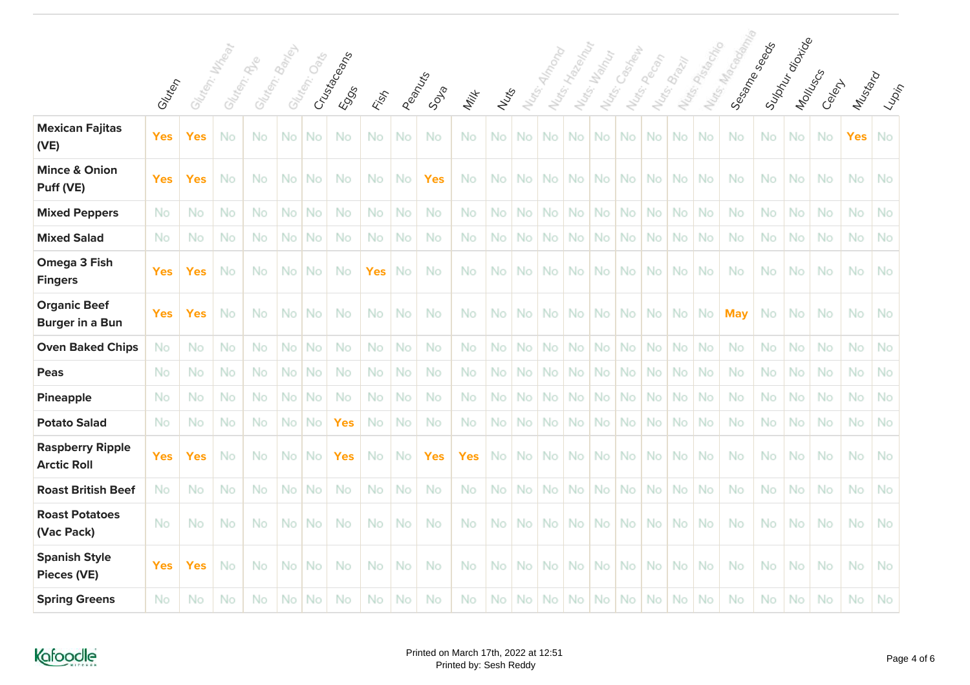|                                               |            |            | Wre     | $\mathcal{C}^{\!\!\mathcal{S}}$ |      |              |                          |            |           |            |            |      |                     |      |             |                      | Castrel   | Pecan     |               |               |                                        |           |                         |           |            |                                                                      |
|-----------------------------------------------|------------|------------|---------|---------------------------------|------|--------------|--------------------------|------------|-----------|------------|------------|------|---------------------|------|-------------|----------------------|-----------|-----------|---------------|---------------|----------------------------------------|-----------|-------------------------|-----------|------------|----------------------------------------------------------------------|
|                                               | Gluten     | Gluten:    | Gluten: | Gluten: Bank                    |      | Gluten: Oats | Crustages<br><b>ESSS</b> | ESS        | Peanus    | SDR        | Milk       | Nuts | Nu <sub>tts</sub> . |      | Nuts: Hazen | Nutss Wahy<br>Notes. | Nats:     |           | Nutrs, Brazil | Nutts: Plague | Norse Ma <sub>Good</sub><br>Sesame see |           | Suptyration<br>Montuscs | Celexy    | Mustard    | $\mathcal{L}_{\mathcal{U}_{\mathcal{O}_{\mathcal{V}_{\mathcal{V}}}}$ |
| <b>Mexican Fajitas</b><br>(VE)                | <b>Yes</b> | <b>Yes</b> | No      | No                              | No   | No           | No                       | No.        | No        | No.        | No         | No.  | No.                 | No.  | No          | No.                  | No.       | No.       | No.           | No            | No                                     | No        | No.                     | No        | <b>Yes</b> | No                                                                   |
| <b>Mince &amp; Onion</b><br>Puff (VE)         | <b>Yes</b> | <b>Yes</b> | No      | No                              | No   | No           | No                       | No         | No        | <b>Yes</b> | No         | No   | No                  | No.  | No          | No                   | No        | No.       | No.           | No            | No                                     | No        | No.                     | No        | No.        | No                                                                   |
| <b>Mixed Peppers</b>                          | No         | No         | No      | No                              | No.  | No           | No                       | No         | No        | No.        | No.        | No   | No.                 | No.  | No          | No.                  | No        | No.       | No.           | No            | No                                     | No        | No.                     | No        | No         | No                                                                   |
| <b>Mixed Salad</b>                            | No         | No         | No      | No                              | No   | No           | No                       | No         | No        | No.        | No         | No   | <b>No</b>           | No.  | No          | <b>No</b>            | No        | No.       | No.           | No            | No                                     | No        | No                      | No        | No.        | No                                                                   |
| Omega 3 Fish<br><b>Fingers</b>                | <b>Yes</b> | <b>Yes</b> | No      | No                              | No I | <b>No</b>    | No                       | <b>Yes</b> | No        | No.        | No.        | No.  | No.                 | No l | No l        | No.                  | No.       | No.       | No.           | <b>No</b>     | No                                     | No        | No.                     | No        | No.        | No                                                                   |
| <b>Organic Beef</b><br><b>Burger in a Bun</b> | <b>Yes</b> | <b>Yes</b> | No      | No                              | No   | No           | No                       | No         | No        | No         | No         | No   | No                  | No.  | No          | No.                  | <b>No</b> | No.       | No.           | No            | <b>May</b>                             | No        | No                      | No        | No         | No                                                                   |
| <b>Oven Baked Chips</b>                       | No         | No         | No      | No                              | No.  | No           | No                       | No         | No        | No.        | No.        | No   | No.                 | No.  | No          | <b>No</b>            | <b>No</b> | No.       | No.           | <b>No</b>     | <b>No</b>                              | No        | No.                     | No        | No         | No                                                                   |
| Peas                                          | No         | No         | No      | No                              | No   | No           | No                       | No         | No        | No.        | No.        | No   | No.                 | No.  | No          | <b>No</b>            | <b>No</b> | No.       | No.           | No            | <b>No</b>                              | No        | No                      | No        | No.        | No                                                                   |
| <b>Pineapple</b>                              | No         | No         | No      | No                              | No   | No           | No                       | No         | No        | No         | No.        | No   | No                  | No.  | No          | No                   | No        | <b>No</b> | No            | No            | <b>No</b>                              | No        | No                      | No        | No         | No                                                                   |
| <b>Potato Salad</b>                           | No         | No         | No      | No                              | No l | No.          | <b>Yes</b>               | No         | <b>No</b> | No.        | No.        | No.  | No.                 | No.  | No          | No.                  | <b>No</b> | No.       | No.           | <b>No</b>     | <b>No</b>                              | <b>No</b> | No.                     | <b>No</b> | No.        | No                                                                   |
| <b>Raspberry Ripple</b><br><b>Arctic Roll</b> | <b>Yes</b> | <b>Yes</b> | No      | No                              | No   | No           | <b>Yes</b>               | No         | No        | <b>Yes</b> | <b>Yes</b> | No.  | <b>No</b>           | No.  | No          | No.                  | No        | No.       | No.           | No            | No                                     | No        | <b>No</b>               | No        | No.        | No                                                                   |
| <b>Roast British Beef</b>                     | No         | No         | No      | No                              | No   | No           | No                       | No         | No        | No.        | No         | No   | No                  | No.  | No          | <b>No</b>            | No        | No.       | No.           | <b>No</b>     | No                                     | No        | No.                     | No        | No.        | No                                                                   |
| <b>Roast Potatoes</b><br>(Vac Pack)           | No         | No         | No      | No                              |      | No No        | No                       | No         | <b>No</b> | No.        | No.        | No.  | No.                 | No l | No          | No.                  | No.       | No.       | No.           | <b>No</b>     | No                                     | No        | No.                     | No        | No.        | No                                                                   |
| <b>Spanish Style</b><br><b>Pieces (VE)</b>    | <b>Yes</b> | <b>Yes</b> | No      | No                              | No   | No           | No                       | No         | No        | No         | No         | No   | No.                 | No.  | No          | No.                  | <b>No</b> | No.       | No.           | No            | No                                     | No        | No.                     | No        | No         | No                                                                   |
| <b>Spring Greens</b>                          | No         | No         | No      | No                              | No   | No           | No                       | No         | No        | No         | No.        | No   | No.                 | No.  | <b>No</b>   | No.                  | No        | No.       | No.           | No            | No                                     | No        | No.                     | No        | No         | No                                                                   |



seeds

oi<sub>doide</sub>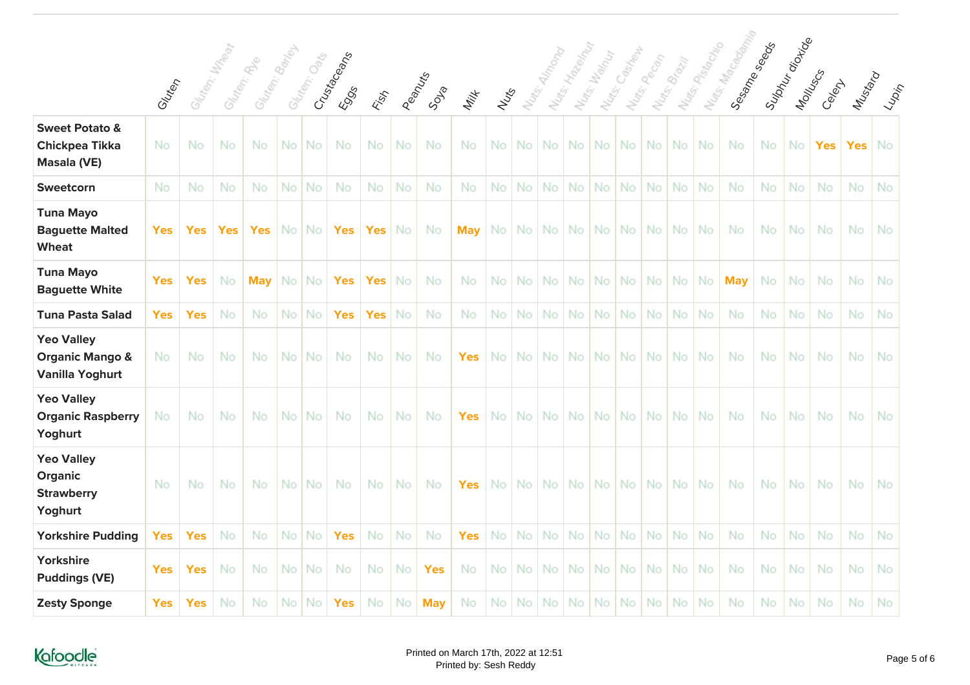|                                                                           |            |                | I Nuts, Marsonamo<br>Suphyration<br>Sesame Seads<br>I Notes Passage<br>I Nats: Hallow River<br>Almong<br>Castrew<br>Nuts: Wandy<br>Nuts, People<br>Nutro, Brazil |                              |      |              |                               |            |        |            |            |       |                     |           |           |           |     |     |       |                |            |           |           |                    |            |                      |
|---------------------------------------------------------------------------|------------|----------------|------------------------------------------------------------------------------------------------------------------------------------------------------------------|------------------------------|------|--------------|-------------------------------|------------|--------|------------|------------|-------|---------------------|-----------|-----------|-----------|-----|-----|-------|----------------|------------|-----------|-----------|--------------------|------------|----------------------|
|                                                                           | Gluten     | Glancha Mandel |                                                                                                                                                                  | Gluten: Bariel<br>Gliten: Re |      | Gluten: Oaks | Crustecements<br><b>E</b> 995 | Fish       | Peanus | SDIP       | Milk       | Nutre | Nu <sub>tte</sub> . |           |           | Nuts.     |     |     |       |                |            |           |           | Montuscy<br>Celept | Mustard    | $\frac{2}{\sqrt{2}}$ |
| <b>Sweet Potato &amp;</b><br><b>Chickpea Tikka</b><br>Masala (VE)         | No         | No             | No                                                                                                                                                               | No                           | No.  | <b>No</b>    | No                            | No         | No     | No         | No         | No    | No.                 | No        | <b>No</b> | <b>No</b> | No. | No. | No    | No             | No         | No        | No        | <b>Yes</b>         | <b>Yes</b> | No                   |
| Sweetcorn                                                                 | No         | No             | No                                                                                                                                                               | No                           | No.  | <b>No</b>    | No                            | No         | No     | No         | No         | No    | No.                 | No        | No        | No        | No  | No  | No    | No             | No.        | No        | No        | No                 | No         | No                   |
| <b>Tuna Mayo</b><br><b>Baguette Malted</b><br><b>Wheat</b>                | <b>Yes</b> | <b>Yes</b>     | <b>Yes</b>                                                                                                                                                       | <b>Yes</b>                   |      | No   No      | <b>Yes</b>                    | <b>Yes</b> | No     | <b>No</b>  | <b>May</b> | No i  | No.                 |           | No No     | No.       | No. | No. | No l  | No.            | No.        | <b>No</b> | No        | No                 | No.        | No                   |
| <b>Tuna Mayo</b><br><b>Baguette White</b>                                 | <b>Yes</b> | <b>Yes</b>     | No                                                                                                                                                               | <b>May</b>                   | No.  | No           | <b>Yes</b>                    | <b>Yes</b> | No     | No         | No         | No.   | No.                 | No        | No.       | No        | No. | No. | No.   | No             | <b>May</b> | No        | No        | No                 | No         | No                   |
| <b>Tuna Pasta Salad</b>                                                   | <b>Yes</b> | <b>Yes</b>     | No                                                                                                                                                               | No                           | No.  | No           | <b>Yes</b>                    | <b>Yes</b> | No     | No         | No         | No    | No.                 | No        | No        | No        | No. | No  | No    | No             | No         | No        | No        | No                 | No         | No                   |
| <b>Yeo Valley</b><br><b>Organic Mango &amp;</b><br><b>Vanilla Yoghurt</b> | No         | No             | No                                                                                                                                                               | No                           | No.  | No.          | No                            | No         | No     | No         | <b>Yes</b> | No.   | No.                 | <b>No</b> | No.       | No.       | No. | No. | No.   | -No            | No         | No        | No        | No                 | No.        | No                   |
| <b>Yeo Valley</b><br><b>Organic Raspberry</b><br>Yoghurt                  | No         | No             | No                                                                                                                                                               | No                           | No I | No.          | No                            | No.        | No     | <b>No</b>  | Yes        | No I  | No I                |           | No No     | No.       | No. | No. | No.   | N <sub>o</sub> | No.        | No.       | <b>No</b> | No                 | No.        | No                   |
| <b>Yeo Valley</b><br>Organic<br><b>Strawberry</b><br>Yoghurt              | No         | No             | No                                                                                                                                                               | No                           | No.  | No.          | No                            | No         | No     | No         | <b>Yes</b> | No.   | No.                 | No        | No.       | No        | No  | No  | No.   | <b>No</b>      | No         | No        | No        | No                 | No         | No                   |
| <b>Yorkshire Pudding</b>                                                  | <b>Yes</b> | <b>Yes</b>     | No                                                                                                                                                               | No                           | No.  | No           | <b>Yes</b>                    | No         | No     | No         | <b>Yes</b> | No    | No.                 | No        | No        | No        | No  | No  | No    | No             | No         | No        | No        | No                 | No         | No                   |
| <b>Yorkshire</b><br><b>Puddings (VE)</b>                                  | <b>Yes</b> | <b>Yes</b>     | No                                                                                                                                                               | No                           | No I | No.          | No                            | <b>No</b>  | No     | <b>Yes</b> | No         | No.   | No.                 | No        | No.       | No.       | No. | No. | No l  | N <sub>o</sub> | No         | No.       | No        | No                 | No         | No                   |
| <b>Zesty Sponge</b>                                                       | <b>Yes</b> | <b>Yes</b>     | No                                                                                                                                                               | No                           |      | No No        | <b>Yes</b>                    | No.        | No     | <b>May</b> | No         | No i  | No.                 |           | No No     | No.       | No. | No. | No No |                | No         | No.       | No        | No                 | No         | No                   |

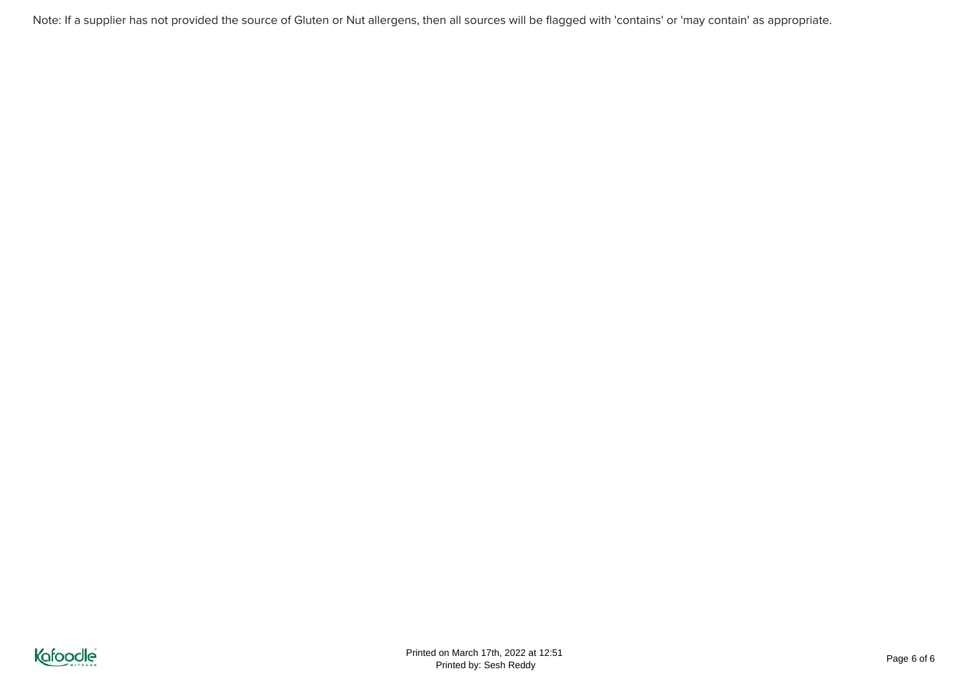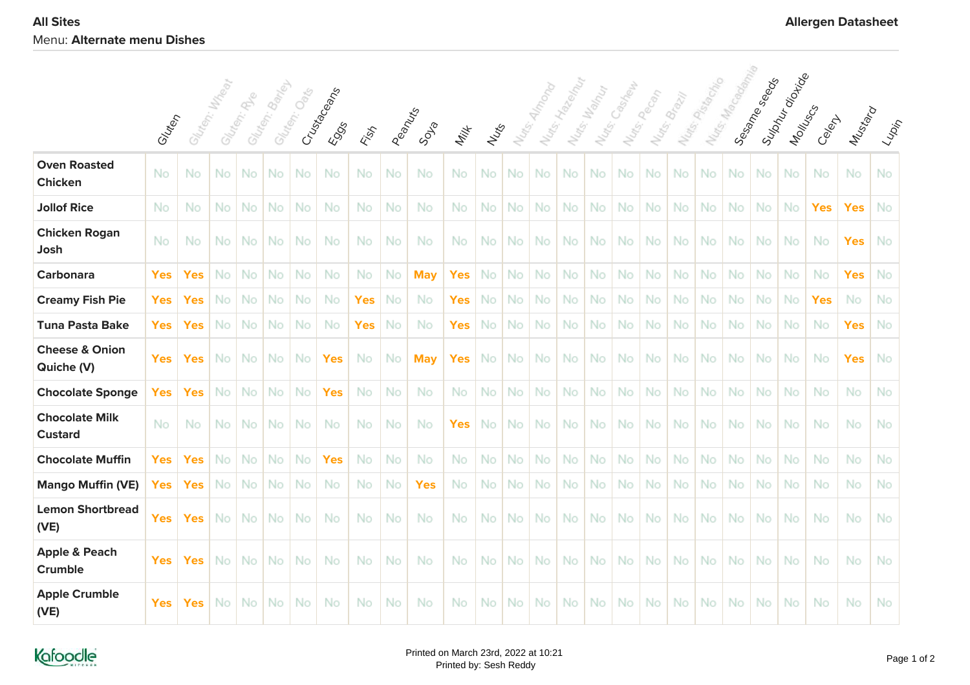|                                            |            |            |               |               |                |              |                      |            |           |            |            | Sulphyroide<br>Nurs, Macquan<br>Sessime Seepers<br>Nutris Passage<br>Hazennun<br>Cashell<br>Nutes: Wally<br>Pecan<br>Nuts: Brazil |                     |           |           |       |                    |     |    |     |           |           |           |            |            |                                                                                                                             |
|--------------------------------------------|------------|------------|---------------|---------------|----------------|--------------|----------------------|------------|-----------|------------|------------|-----------------------------------------------------------------------------------------------------------------------------------|---------------------|-----------|-----------|-------|--------------------|-----|----|-----|-----------|-----------|-----------|------------|------------|-----------------------------------------------------------------------------------------------------------------------------|
|                                            | Glutery    |            | Gluten: Mxden | Glaten: River | Glutegi, Banje | Gluten: Oets | Crusta Ceans<br>EOSS | Fish       | Peanus    | SDSB       | Milk       | Nutris                                                                                                                            | Nu <sub>tts</sub> . | Nuts:     |           | Nats. | Nu <sub>ds</sub> . |     |    |     |           |           | Montuscy  | Celent     | Mustard    | $\langle \iota_{\!\scriptscriptstyle\mathcal{W}\! \scriptscriptstyle\mathcal{P}}\! \iota_{\!\scriptscriptstyle\mathcal{P}}$ |
| <b>Oven Roasted</b><br><b>Chicken</b>      | No         | No         | No            | No            | No.            | No           | No                   | No         | No        | No         | No         | No                                                                                                                                | No                  | No        | No        | No    | No                 | No  | No | No. | <b>No</b> | <b>No</b> | No        | No         | No.        | No                                                                                                                          |
| <b>Jollof Rice</b>                         | No         | No         | No            | No            | No             | No           | No                   | No         | No        | No         | No         | No                                                                                                                                | No                  | No        | No        | No    | No                 | No  | No | No  | No        | No        | No        | <b>Yes</b> | <b>Yes</b> | No                                                                                                                          |
| <b>Chicken Rogan</b><br>Josh               | No         | No         | No.           | No            | No.            | No           | No                   | No         | No        | No         | No         | No.                                                                                                                               | No.                 | No        | No        | No.   | <b>No</b>          | No  | No | No. | No        | <b>No</b> | <b>No</b> | No         | <b>Yes</b> | No                                                                                                                          |
| <b>Carbonara</b>                           | <b>Yes</b> | <b>Yes</b> | No            | No            | No.            | No           | No                   | No         | No.       | <b>May</b> | <b>Yes</b> | <b>No</b>                                                                                                                         | No                  | No        | No.       | No    | No                 | No  | No | No. | No        | No        | No        | No         | <b>Yes</b> | No                                                                                                                          |
| <b>Creamy Fish Pie</b>                     | <b>Yes</b> | <b>Yes</b> | No            | No            | No.            | No           | No                   | <b>Yes</b> | No        | No         | <b>Yes</b> | No.                                                                                                                               | No                  | No        | No        | No    | No                 | No  | No | No. | No        | No        | <b>No</b> | <b>Yes</b> | No         | No                                                                                                                          |
| <b>Tuna Pasta Bake</b>                     | <b>Yes</b> | <b>Yes</b> | No            | No            | No             | No           | No                   | <b>Yes</b> | No        | No         | <b>Yes</b> | No                                                                                                                                | No                  | No        | No        | No    | No                 | No  | No | No. | No        | No        | <b>No</b> | No         | <b>Yes</b> | No                                                                                                                          |
| <b>Cheese &amp; Onion</b><br>Quiche (V)    | <b>Yes</b> | <b>Yes</b> | No.           | No.           | No.            | No           | <b>Yes</b>           | No.        | <b>No</b> | <b>May</b> | <b>Yes</b> | No.                                                                                                                               | No.                 | No.       | No.       | No.   | <b>No</b>          | No  | No | No. | No        | <b>No</b> | <b>No</b> | No         | <b>Yes</b> | No                                                                                                                          |
| <b>Chocolate Sponge</b>                    | <b>Yes</b> | <b>Yes</b> | No            | No            | No.            | No           | <b>Yes</b>           | No         | No        | No         | No         | No                                                                                                                                | No                  | No        | No.       | No    | No                 | No  | No | No. | No        | No        | <b>No</b> | No         | No.        | No                                                                                                                          |
| <b>Chocolate Milk</b><br><b>Custard</b>    | No         | No         | No            | No            | No.            | No           | No                   | No         | No        | No         | <b>Yes</b> | No                                                                                                                                | No                  | No        | No        | No    | No                 | No  | No | No. | No        | No        | No        | No         | No         | No                                                                                                                          |
| <b>Chocolate Muffin</b>                    | <b>Yes</b> | <b>Yes</b> | No            | No            | No.            | No           | <b>Yes</b>           | No         | <b>No</b> | No         | No         | <b>No</b>                                                                                                                         | No                  | No        | No.       | No    | No                 | No. | No | No. | <b>No</b> | <b>No</b> | <b>No</b> | No         | <b>No</b>  | No                                                                                                                          |
| <b>Mango Muffin (VE)</b>                   | <b>Yes</b> | <b>Yes</b> | No            | No            | No.            | No           | No                   | No         | No        | <b>Yes</b> | No         | No                                                                                                                                | No                  | No        | No        | No    | No                 | No  | No | No  | No        | No        | No        | No         | No         | No                                                                                                                          |
| <b>Lemon Shortbread</b><br>(VE)            | <b>Yes</b> | <b>Yes</b> | No            | No            | No.            | No           | No                   | No         | No        | No         | No         | <b>No</b>                                                                                                                         | No                  | No        | <b>No</b> | No    | No                 | No. | No | No. | <b>No</b> | No        | No        | No         | No.        | No                                                                                                                          |
| <b>Apple &amp; Peach</b><br><b>Crumble</b> | <b>Yes</b> | <b>Yes</b> | <b>No</b>     | No            | No.            | No           | No                   | No         | No        | No         | No         | No.                                                                                                                               | No                  | No        | No        | No.   | No                 | No. | No | No. | <b>No</b> | No        | No        | No         | No         | No                                                                                                                          |
| <b>Apple Crumble</b><br>(VE)               | <b>Yes</b> | <b>Yes</b> | No            | No            | No.            | No           | No                   | No         | No        | No         | No         | No.                                                                                                                               | No                  | <b>No</b> | No.       | No.   | No                 | No. | No | No. | No.       | <b>No</b> | No        | No         | No         | No                                                                                                                          |